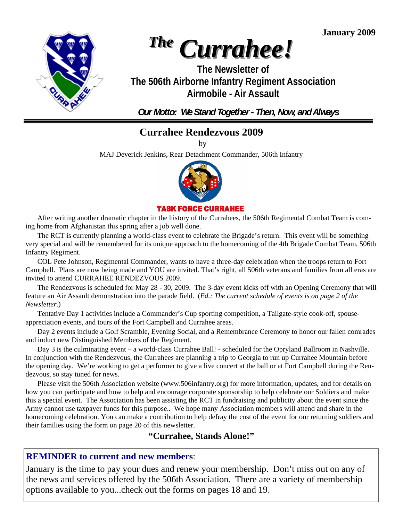**January 2009** 



# *The Currahee!*

**The Newsletter of The 506th Airborne Infantry Regiment Association Airmobile - Air Assault** 

*Our Motto: We Stand Together - Then, Now, and Always* 

## **Currahee Rendezvous 2009**

by

MAJ Deverick Jenkins, Rear Detachment Commander, 506th Infantry



#### **TASK FORCE CURRAHEE**

 After writing another dramatic chapter in the history of the Currahees, the 506th Regimental Combat Team is coming home from Afghanistan this spring after a job well done.

 The RCT is currently planning a world-class event to celebrate the Brigade's return. This event will be something very special and will be remembered for its unique approach to the homecoming of the 4th Brigade Combat Team, 506th Infantry Regiment.

 COL Pete Johnson, Regimental Commander, wants to have a three-day celebration when the troops return to Fort Campbell. Plans are now being made and YOU are invited. That's right, all 506th veterans and families from all eras are invited to attend CURRAHEE RENDEZVOUS 2009.

 The Rendezvous is scheduled for May 28 - 30, 2009. The 3-day event kicks off with an Opening Ceremony that will feature an Air Assault demonstration into the parade field. (*Ed.: The current schedule of events is on page 2 of the Newsletter*.)

 Tentative Day 1 activities include a Commander's Cup sporting competition, a Tailgate-style cook-off, spouseappreciation events, and tours of the Fort Campbell and Currahee areas.

 Day 2 events include a Golf Scramble, Evening Social, and a Remembrance Ceremony to honor our fallen comrades and induct new Distinguished Members of the Regiment.

 Day 3 is the culminating event – a world-class Currahee Ball! - scheduled for the Opryland Ballroom in Nashville. In conjunction with the Rendezvous, the Currahees are planning a trip to Georgia to run up Currahee Mountain before the opening day. We're working to get a performer to give a live concert at the ball or at Fort Campbell during the Rendezvous, so stay tuned for news.

 Please visit the 506th Association website (www.506infantry.org) for more information, updates, and for details on how you can participate and how to help and encourage corporate sponsorship to help celebrate our Soldiers and make this a special event. The Association has been assisting the RCT in fundraising and publicity about the event since the Army cannot use taxpayer funds for this purpose.. We hope many Association members will attend and share in the homecoming celebration. You can make a contribution to help defray the cost of the event for our returning soldiers and their families using the form on page 20 of this newsletter.

#### **"Currahee, Stands Alone!"**

#### **REMINDER to current and new members**:

 options available to you...check out the forms on pages 18 and 19. January is the time to pay your dues and renew your membership. Don't miss out on any of the news and services offered by the 506th Association. There are a variety of membership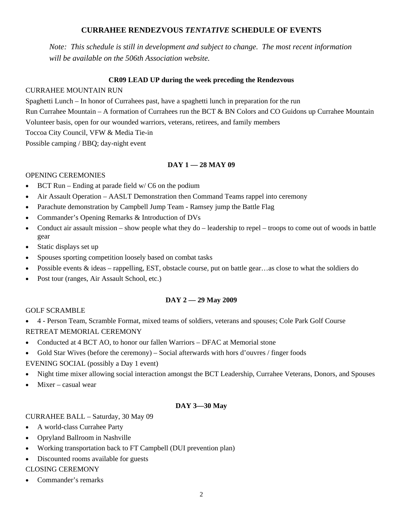#### **CURRAHEE RENDEZVOUS** *TENTATIVE* **SCHEDULE OF EVENTS**

*Note: This schedule is still in development and subject to change. The most recent information will be available on the 506th Association website.* 

#### **CR09 LEAD UP during the week preceding the Rendezvous**

#### CURRAHEE MOUNTAIN RUN

Spaghetti Lunch – In honor of Currahees past, have a spaghetti lunch in preparation for the run Run Currahee Mountain – A formation of Currahees run the BCT & BN Colors and CO Guidons up Currahee Mountain Volunteer basis, open for our wounded warriors, veterans, retirees, and family members Toccoa City Council, VFW & Media Tie-in Possible camping / BBQ; day-night event

#### **DAY 1 — 28 MAY 09**

#### OPENING CEREMONIES

- BCT Run Ending at parade field  $w/C6$  on the podium
- Air Assault Operation AASLT Demonstration then Command Teams rappel into ceremony
- Parachute demonstration by Campbell Jump Team Ramsey jump the Battle Flag
- Commander's Opening Remarks & Introduction of DVs
- Conduct air assault mission show people what they do leadership to repel troops to come out of woods in battle gear
- Static displays set up
- Spouses sporting competition loosely based on combat tasks
- Possible events  $\&$  ideas rappelling, EST, obstacle course, put on battle gear…as close to what the soldiers do
- Post tour (ranges, Air Assault School, etc.)

#### **DAY 2 — 29 May 2009**

#### GOLF SCRAMBLE

- 4 Person Team, Scramble Format, mixed teams of soldiers, veterans and spouses; Cole Park Golf Course RETREAT MEMORIAL CEREMONY
- Conducted at 4 BCT AO, to honor our fallen Warriors DFAC at Memorial stone
- Gold Star Wives (before the ceremony) Social afterwards with hors d'ouvres / finger foods

#### EVENING SOCIAL (possibly a Day 1 event)

- Night time mixer allowing social interaction amongst the BCT Leadership, Currahee Veterans, Donors, and Spouses
- Mixer casual wear

#### **DAY 3—30 May**

#### CURRAHEE BALL – Saturday, 30 May 09

- A world-class Currahee Party
- Opryland Ballroom in Nashville
- Working transportation back to FT Campbell (DUI prevention plan)
- Discounted rooms available for guests

#### CLOSING CEREMONY

• Commander's remarks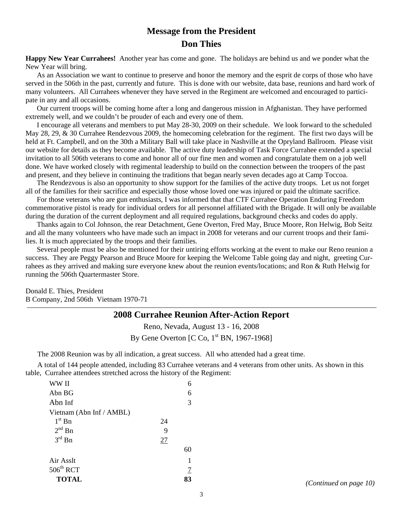## **Message from the President Don Thies**

**Happy New Year Currahees!** Another year has come and gone. The holidays are behind us and we ponder what the New Year will bring.

 As an Association we want to continue to preserve and honor the memory and the esprit de corps of those who have served in the 506th in the past, currently and future. This is done with our website, data base, reunions and hard work of many volunteers. All Currahees whenever they have served in the Regiment are welcomed and encouraged to participate in any and all occasions.

 Our current troops will be coming home after a long and dangerous mission in Afghanistan. They have performed extremely well, and we couldn't be prouder of each and every one of them.

 I encourage all veterans and members to put May 28-30, 2009 on their schedule. We look forward to the scheduled May 28, 29, & 30 Currahee Rendezvous 2009, the homecoming celebration for the regiment. The first two days will be held at Ft. Campbell, and on the 30th a Military Ball will take place in Nashville at the Opryland Ballroom. Please visit our website for details as they become available. The active duty leadership of Task Force Currahee extended a special invitation to all 506th veterans to come and honor all of our fine men and women and congratulate them on a job well done. We have worked closely with regimental leadership to build on the connection between the troopers of the past and present, and they believe in continuing the traditions that began nearly seven decades ago at Camp Toccoa.

 The Rendezvous is also an opportunity to show support for the families of the active duty troops. Let us not forget all of the families for their sacrifice and especially those whose loved one was injured or paid the ultimate sacrifice.

 For those veterans who are gun enthusiasts, I was informed that that CTF Currahee Operation Enduring Freedom commemorative pistol is ready for individual orders for all personnel affiliated with the Brigade. It will only be available during the duration of the current deployment and all required regulations, background checks and codes do apply.

 Thanks again to Col Johnson, the rear Detachment, Gene Overton, Fred May, Bruce Moore, Ron Helwig, Bob Seitz and all the many volunteers who have made such an impact in 2008 for veterans and our current troops and their families. It is much appreciated by the troops and their families.

Several people must be also be mentioned for their untiring efforts working at the event to make our Reno reunion a success. They are Peggy Pearson and Bruce Moore for keeping the Welcome Table going day and night, greeting Currahees as they arrived and making sure everyone knew about the reunion events/locations; and Ron & Ruth Helwig for running the 506th Quartermaster Store.

Donald E. Thies, President B Company, 2nd 506th Vietnam 1970-71

#### **2008 Currahee Reunion After-Action Report**

Reno, Nevada, August 13 - 16, 2008 By Gene Overton  $[C C<sub>0</sub>, 1<sup>st</sup> BN, 1967-1968]$ 

The 2008 Reunion was by all indication, a great success. All who attended had a great time.

 A total of 144 people attended, including 83 Currahee veterans and 4 veterans from other units. As shown in this table, Currahee attendees stretched across the history of the Regiment:

| WW II                    |    | 6  |
|--------------------------|----|----|
| Abn BG                   |    | 6  |
| Abn Inf                  |    | 3  |
| Vietnam (Abn Inf / AMBL) |    |    |
| $1st$ Bn                 | 24 |    |
| $2^{nd}$ Bn              | 9  |    |
| $3^{\text{rd}}$ Bn       | 27 |    |
|                          |    | 60 |
| Air Asslt                |    |    |
| $506^{\text{th}}$ RCT    |    | 7  |
| <b>TOTAL</b>             |    | 83 |

**TOTAL 83** *(Continued on page 10)*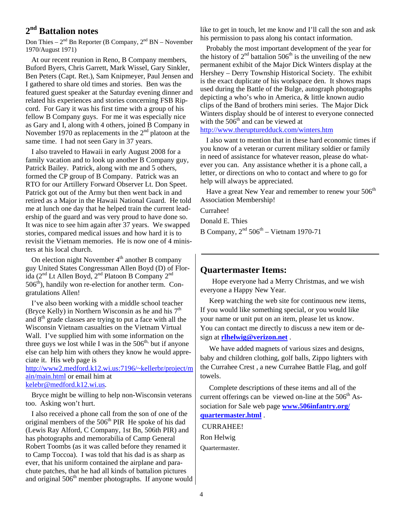#### **2nd Battalion notes**

Don Thies –  $2^{nd}$  Bn Reporter (B Company,  $2^{nd}$  BN – November 1970/August 1971)

 At our recent reunion in Reno, B Company members, Buford Byers, Chris Garrett, Mark Wissel, Gary Sinkler, Ben Peters (Capt. Ret.), Sam Knipmeyer, Paul Jensen and I gathered to share old times and stories. Ben was the featured guest speaker at the Saturday evening dinner and related his experiences and stories concerning FSB Ripcord. For Gary it was his first time with a group of his fellow B Company guys. For me it was especially nice as Gary and I, along with 4 others, joined B Company in November 1970 as replacements in the  $2<sup>nd</sup>$  platoon at the same time. I had not seen Gary in 37 years.

 I also traveled to Hawaii in early August 2008 for a family vacation and to look up another B Company guy, Patrick Bailey. Patrick, along with me and 5 others, formed the CP group of B Company. Patrick was an RTO for our Artillery Forward Observer Lt. Don Speet. Patrick got out of the Army but then went back in and retired as a Major in the Hawaii National Guard. He told me at lunch one day that he helped train the current leadership of the guard and was very proud to have done so. It was nice to see him again after 37 years. We swapped stories, compared medical issues and how hard it is to revisit the Vietnam memories. He is now one of 4 ministers at his local church.

On election night November  $4<sup>th</sup>$  another B company guy United States Congressman Allen Boyd (D) of Florida (2nd Lt Allen Boyd, 2nd Platoon B Company 2nd 506<sup>th</sup>), handily won re-election for another term. Congratulations Allen!

 I've also been working with a middle school teacher (Bryce Kelly) in Northern Wisconsin as he and his  $7<sup>th</sup>$ and  $8<sup>th</sup>$  grade classes are trying to put a face with all the Wisconsin Vietnam casualties on the Vietnam Virtual Wall. I've supplied him with some information on the three guys we lost while I was in the  $506<sup>th</sup>$ , but if anyone else can help him with others they know he would appreciate it. His web page is

http://www2.medford.k12.wi.us:7196/~kellerbr/project/m ain/main.html or email him at kelebr@medford.k12.wi.us.

 Bryce might be willing to help non-Wisconsin veterans too. Asking won't hurt.

 I also received a phone call from the son of one of the original members of the  $506<sup>th</sup>$  PIR He spoke of his dad (Lewis Ray Alford, C Company, 1st Bn, 506th PIR) and has photographs and memorabilia of Camp General Robert Toombs (as it was called before they renamed it to Camp Toccoa). I was told that his dad is as sharp as ever, that his uniform contained the airplane and parachute patches, that he had all kinds of battalion pictures and original  $506<sup>th</sup>$  member photographs. If anyone would like to get in touch, let me know and I'll call the son and ask his permission to pass along his contact information.

 Probably the most important development of the year for the history of  $2<sup>nd</sup>$  battalion 506<sup>th</sup> is the unveiling of the new permanent exhibit of the Major Dick Winters display at the Hershey – Derry Township Historical Society. The exhibit is the exact duplicate of his workspace den. It shows maps used during the Battle of the Bulge, autograph photographs depicting a who's who in America, & little known audio clips of the Band of brothers mini series. The Major Dick Winters display should be of interest to everyone connected with the  $506<sup>th</sup>$  and can be viewed at

http://www.therupturedduck.com/winters.htm

 I also want to mention that in these hard economic times if you know of a veteran or current military soldier or family in need of assistance for whatever reason, please do whatever you can. Any assistance whether it is a phone call, a letter, or directions on who to contact and where to go for help will always be appreciated.

Have a great New Year and remember to renew your 506<sup>th</sup> Association Membership!

Currahee!

Donald E. Thies

B Company,  $2<sup>nd</sup> 506<sup>th</sup> - Vietnam 1970-71$ 

#### **Quartermaster Items:**

 Hope everyone had a Merry Christmas, and we wish everyone a Happy New Year.

 Keep watching the web site for continuous new items, If you would like something special, or you would like your name or unit put on an item, please let us know. You can contact me directly to discuss a new item or design at **rlhelwig@verizon.net** .

 We have added magnets of various sizes and designs, baby and children clothing, golf balls, Zippo lighters with the Currahee Crest , a new Currahee Battle Flag, and golf towels.

 Complete descriptions of these items and all of the current offerings can be viewed on-line at the  $506<sup>th</sup>$  Association for Sale web page **www.506infantry.org/ quartermaster.html** .

 CURRAHEE! Ron Helwig Quartermaster.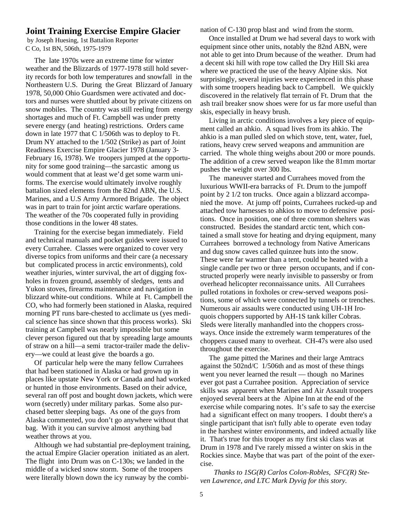#### **Joint Training Exercise Empire Glacier**

 by Joseph Huesing, 1st Battalion Reporter C Co, 1st BN, 506th, 1975-1979

 The late 1970s were an extreme time for winter weather and the Blizzards of 1977-1978 still hold severity records for both low temperatures and snowfall in the Northeastern U.S. During the Great Blizzard of January 1978, 50,000 Ohio Guardsmen were activated and doctors and nurses were shuttled about by private citizens on snow mobiles. The country was still reeling from energy shortages and much of Ft. Campbell was under pretty severe energy (and heating) restrictions. Orders came down in late 1977 that C 1/506th was to deploy to Ft. Drum NY attached to the 1/502 (Strike) as part of Joint Readiness Exercise Empire Glacier 1978 (January 3- February 16, 1978). We troopers jumped at the opportunity for some good training—the sarcastic among us would comment that at least we'd get some warm uniforms. The exercise would ultimately involve roughly battalion sized elements from the 82nd ABN, the U.S. Marines, and a U.S Army Armored Brigade. The object was in part to train for joint arctic warfare operations. The weather of the 70s cooperated fully in providing those conditions in the lower 48 states.

 Training for the exercise began immediately. Field and technical manuals and pocket guides were issued to every Currahee. Classes were organized to cover very diverse topics from uniforms and their care (a necessary but complicated process in arctic environments), cold weather injuries, winter survival, the art of digging foxholes in frozen ground, assembly of sledges, tents and Yukon stoves, firearms maintenance and navigation in blizzard white-out conditions. While at Ft. Campbell the CO, who had formerly been stationed in Alaska, required morning PT runs bare-chested to acclimate us (yes medical science has since shown that this process works). Ski training at Campbell was nearly impossible but some clever person figured out that by spreading large amounts of straw on a hill—a semi tractor-trailer made the delivery—we could at least give the boards a go.

 Of particular help were the many fellow Currahees that had been stationed in Alaska or had grown up in places like upstate New York or Canada and had worked or hunted in those environments. Based on their advice, several ran off post and bought down jackets, which were worn (secretly) under military parkas. Some also purchased better sleeping bags. As one of the guys from Alaska commented, you don't go anywhere without that bag. With it you can survive almost anything bad weather throws at you.

 Although we had substantial pre-deployment training, the actual Empire Glacier operation initiated as an alert. The flight into Drum was on C-130s; we landed in the middle of a wicked snow storm. Some of the troopers were literally blown down the icy runway by the combination of C-130 prop blast and wind from the storm.

 Once installed at Drum we had several days to work with equipment since other units, notably the 82nd ABN, were not able to get into Drum because of the weather. Drum had a decent ski hill with rope tow called the Dry Hill Ski area where we practiced the use of the heavy Alpine skis. Not surprisingly, several injuries were experienced in this phase with some troopers heading back to Campbell. We quickly discovered in the relatively flat terrain of Ft. Drum that the ash trail breaker snow shoes were for us far more useful than skis, especially in heavy brush.

 Living in arctic conditions involves a key piece of equipment called an ahkio. A squad lives from its ahkio. The ahkio is a man pulled sled on which stove, tent, water, fuel, rations, heavy crew served weapons and ammunition are carried. The whole thing weighs about 200 or more pounds. The addition of a crew served weapon like the 81mm mortar pushes the weight over 300 lbs.

 The maneuver started and Currahees moved from the luxurious WWII-era barracks of Ft. Drum to the jumpoff point by 2 1/2 ton trucks. Once again a blizzard accompanied the move. At jump off points, Currahees rucked-up and attached tow harnesses to ahkios to move to defensive positions. Once in position, one of three common shelters was constructed. Besides the standard arctic tent, which contained a small stove for heating and drying equipment, many Currahees borrowed a technology from Native Americans and dug snow caves called quinzee huts into the snow. These were far warmer than a tent, could be heated with a single candle per two or three person occupants, and if constructed properly were nearly invisible to passersby or from overhead helicopter reconnaissance units. All Currahees pulled rotations in foxholes or crew-served weapons positions, some of which were connected by tunnels or trenches. Numerous air assaults were conducted using UH-1H Iroquois choppers supported by AH-1S tank killer Cobras. Sleds were literally manhandled into the choppers crossways. Once inside the extremely warm temperatures of the choppers caused many to overheat. CH-47s were also used throughout the exercise.

 The game pitted the Marines and their large Amtracs against the 502nd/C 1/506th and as most of these things went you never learned the result — though no Marines ever got past a Currahee position. Appreciation of service skills was apparent when Marines and Air Assault troopers enjoyed several beers at the Alpine Inn at the end of the exercise while comparing notes. It's safe to say the exercise had a significant effect on many troopers. I doubt there's a single participant that isn't fully able to operate even today in the harshest winter environments, and indeed actually like it. That's true for this trooper as my first ski class was at Drum in 1978 and I've rarely missed a winter on skis in the Rockies since. Maybe that was part of the point of the exercise.

 *Thanks to 1SG(R) Carlos Colon-Robles, SFC(R) Steven Lawrence, and LTC Mark Dyvig for this story.*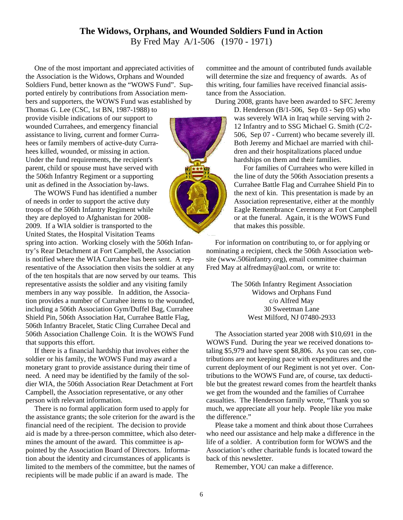#### **The Widows, Orphans, and Wounded Soldiers Fund in Action**  By Fred May A/1-506 (1970 - 1971)

 One of the most important and appreciated activities of the Association is the Widows, Orphans and Wounded Soldiers Fund, better known as the "WOWS Fund". Supported entirely by contributions from Association members and supporters, the WOWS Fund was established by

Thomas G. Lee (CSC, 1st BN, 1987-1988) to provide visible indications of our support to wounded Currahees, and emergency financial assistance to living, current and former Currahees or family members of active-duty Currahees killed, wounded, or missing in action. Under the fund requirements, the recipient's parent, child or spouse must have served with the 506th Infantry Regiment or a supporting unit as defined in the Association by-laws.

 The WOWS Fund has identified a number of needs in order to support the active duty troops of the 506th Infantry Regiment while they are deployed to Afghanistan for 2008- 2009. If a WIA soldier is transported to the United States, the Hospital Visitation Teams

spring into action. Working closely with the 506th Infantry's Rear Detachment at Fort Campbell, the Association is notified where the WIA Currahee has been sent. A representative of the Association then visits the soldier at any of the ten hospitals that are now served by our teams. This representative assists the soldier and any visiting family members in any way possible. In addition, the Association provides a number of Currahee items to the wounded, including a 506th Association Gym/Duffel Bag, Currahee Shield Pin, 506th Association Hat, Currahee Battle Flag, 506th Infantry Bracelet, Static Cling Currahee Decal and 506th Association Challenge Coin. It is the WOWS Fund that supports this effort.

 If there is a financial hardship that involves either the soldier or his family, the WOWS Fund may award a monetary grant to provide assistance during their time of need. A need may be identified by the family of the soldier WIA, the 506th Association Rear Detachment at Fort Campbell, the Association representative, or any other person with relevant information.

 There is no formal application form used to apply for the assistance grants; the sole criterion for the award is the financial need of the recipient. The decision to provide aid is made by a three-person committee, which also determines the amount of the award. This committee is appointed by the Association Board of Directors. Information about the identity and circumstances of applicants is limited to the members of the committee, but the names of recipients will be made public if an award is made. The

committee and the amount of contributed funds available will determine the size and frequency of awards. As of this writing, four families have received financial assistance from the Association.

During 2008, grants have been awarded to SFC Jeremy

D. Henderson (B/1-506, Sep 03 - Sep 05) who was severely WIA in Iraq while serving with 2- 12 Infantry and to SSG Michael G. Smith (C/2- 506, Sep 07 - Current) who became severely ill. Both Jeremy and Michael are married with children and their hospitalizations placed undue hardships on them and their families.

 For families of Currahees who were killed in the line of duty the 506th Association presents a Currahee Battle Flag and Currahee Shield Pin to the next of kin. This presentation is made by an Association representative, either at the monthly Eagle Remembrance Ceremony at Fort Campbell or at the funeral. Again, it is the WOWS Fund that makes this possible.

 For information on contributing to, or for applying or nominating a recipient, check the 506th Association website (www.506infantry.org), email committee chairman Fred May at alfredmay@aol.com, or write to:

> The 506th Infantry Regiment Association Widows and Orphans Fund c/o Alfred May 30 Sweetman Lane West Milford, NJ 07480-2933

 The Association started year 2008 with \$10,691 in the WOWS Fund. During the year we received donations totaling \$5,979 and have spent \$8,806. As you can see, contributions are not keeping pace with expenditures and the current deployment of our Regiment is not yet over. Contributions to the WOWS Fund are, of course, tax deductible but the greatest reward comes from the heartfelt thanks we get from the wounded and the families of Currahee casualties. The Henderson family wrote, "Thank you so much, we appreciate all your help. People like you make the difference."

 Please take a moment and think about those Currahees who need our assistance and help make a difference in the life of a soldier. A contribution form for WOWS and the Association's other charitable funds is located toward the back of this newsletter.

Remember, YOU can make a difference.

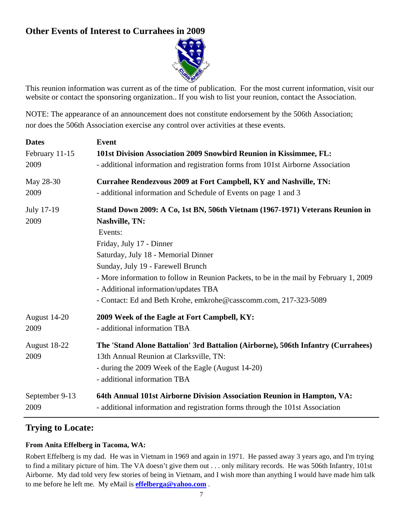### **Other Events of Interest to Currahees in 2009**



This reunion information was current as of the time of publication. For the most current information, visit our website or contact the sponsoring organization.. If you wish to list your reunion, contact the Association.

NOTE: The appearance of an announcement does not constitute endorsement by the 506th Association; nor does the 506th Association exercise any control over activities at these events.

| <b>Dates</b>         | Event                                                                                                                                                                                                                                                                                                                                                                                                                          |
|----------------------|--------------------------------------------------------------------------------------------------------------------------------------------------------------------------------------------------------------------------------------------------------------------------------------------------------------------------------------------------------------------------------------------------------------------------------|
| February 11-15       | 101st Division Association 2009 Snowbird Reunion in Kissimmee, FL:                                                                                                                                                                                                                                                                                                                                                             |
| 2009                 | - additional information and registration forms from 101st Airborne Association                                                                                                                                                                                                                                                                                                                                                |
| May 28-30            | Currahee Rendezvous 2009 at Fort Campbell, KY and Nashville, TN:                                                                                                                                                                                                                                                                                                                                                               |
| 2009                 | - additional information and Schedule of Events on page 1 and 3                                                                                                                                                                                                                                                                                                                                                                |
| July 17-19<br>2009   | Stand Down 2009: A Co, 1st BN, 506th Vietnam (1967-1971) Veterans Reunion in<br><b>Nashville, TN:</b><br>Events:<br>Friday, July 17 - Dinner<br>Saturday, July 18 - Memorial Dinner<br>Sunday, July 19 - Farewell Brunch<br>- More information to follow in Reunion Packets, to be in the mail by February 1, 2009<br>- Additional information/updates TBA<br>- Contact: Ed and Beth Krohe, emkrohe@casscomm.com, 217-323-5089 |
| August 14-20         | 2009 Week of the Eagle at Fort Campbell, KY:                                                                                                                                                                                                                                                                                                                                                                                   |
| 2009                 | - additional information TBA                                                                                                                                                                                                                                                                                                                                                                                                   |
| August 18-22<br>2009 | The 'Stand Alone Battalion' 3rd Battalion (Airborne), 506th Infantry (Currahees)<br>13th Annual Reunion at Clarksville, TN:<br>- during the 2009 Week of the Eagle (August 14-20)<br>- additional information TBA                                                                                                                                                                                                              |
| September 9-13       | 64th Annual 101st Airborne Division Association Reunion in Hampton, VA:                                                                                                                                                                                                                                                                                                                                                        |
| 2009                 | - additional information and registration forms through the 101st Association                                                                                                                                                                                                                                                                                                                                                  |

#### **Trying to Locate:**

#### **From Anita Effelberg in Tacoma, WA:**

Robert Effelberg is my dad. He was in Vietnam in 1969 and again in 1971. He passed away 3 years ago, and I'm trying to find a military picture of him. The VA doesn't give them out . . . only military records. He was 506th Infantry, 101st Airborne. My dad told very few stories of being in Vietnam, and I wish more than anything I would have made him talk to me before he left me. My eMail is **effelberga@yahoo.com** .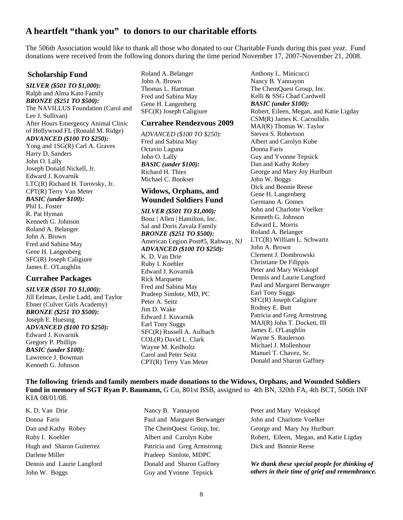#### **A heartfelt "thank you" to donors to our charitable efforts**

The 506th Association would like to thank all those who donated to our Charitable Funds during this past year. Fund donations were received from the following donors during the time period November 17, 2007-November 21, 2008.

#### **Scholarship Fund**

*SILVER (\$501 TO \$1,000):*  Ralph and Alma Kato Family *BRONZE (\$251 TO \$500):*  The NAVILLUS Foundation (Carol and Lee J. Sullivan) After Hours Emergency Animal Clinic of Hollywood FL (Ronald M. Ridge) *ADVANCED (\$100 TO \$250):*  Yong and 1SG(R) Carl A. Graves

Harry D. Sanders John O. Lally Joseph Donald Nickell, Jr. Edward J. Kovarnik LTC(R) Richard H. Torovsky, Jr. CPT(R) Terry Van Meter *BASIC (under \$100):*  Phil L. Foster R. Pat Hyman Kenneth G. Johnson Roland A. Belanger John A. Brown Fred and Sabina May Gene H. Langenberg SFC(R) Joseph Caligiure James E. O'Laughlin

#### **Currahee Packages**

*SILVER (\$501 TO \$1,000):*  Jill Eelman, Leslie Ladd, and Taylor Ebner (Culver Girls Academy) *BRONZE (\$251 TO \$500):*  Joseph E. Huesing *ADVANCED (\$100 TO \$250):*  Edward J. Kovarnik Gregory P. Phillips *BASIC (under \$100):*  Lawrence J. Bowman Kenneth G. Johnson

Roland A. Belanger John A. Brown Thomas L. Hartman Fred and Sabina May Gene H. Langenberg SFC(R) Joseph Caligiure

#### **Currahee Rendezvous 2009**

*ADVANCED (\$100 TO \$250):*  Fred and Sabina May Octavio Laguna John O. Lally *BASIC (under \$100):*  Richard H. Thies Michael C. Bookser

#### **Widows, Orphans, and Wounded Soldiers Fund**

*SILVER (\$501 TO \$1,000):*  Booz | Allen | Hamilton, Inc. Sal and Doris Zavala Family *BRONZE (\$251 TO \$500):*  American Legion Post#5, Rahway, NJ *ADVANCED (\$100 TO \$250):*  K. D. Van Drie Ruby I. Koehler Edward J. Kovarnik Rick Marquette Fred and Sabina May Pradeep Simlote, MD, PC Peter A. Seitz Jim D. Wake Edward J. Kovarnik Earl Tony Suggs SFC(R) Russell A. Aulbach COL(R) David L. Clark Wayne M. Keilholtz Carol and Peter Seitz CPT(R) Terry Van Meter

Anthony L. Minicucci Nancy B. Yannayon The ChemQuest Group, Inc. Kelli & SSG Chad Cardwell *BASIC (under \$100):*  Robert, Eileen, Megan, and Katie Ligday CSM(R) James K. Cacoulidis MAJ(R) Thomas W. Taylor Steven S. Robertson Albert and Carolyn Kube Donna Faris Guy and Yvonne Tepsick Dan and Kathy Robey George and Mary Joy Hurlburt John W. Boggs Dick and Bonnie Reese Gene H. Langenberg Germano A. Gomes John and Charlotte Voelker Kenneth G. Johnson Edward L. Morris Roland A. Belanger LTC(R) William L. Schwartz John A. Brown Clement J. Dombrowski Christiane De Filippis Peter and Mary Weiskopf Dennis and Laurie Langford Paul and Margaret Berwanger Earl Tony Suggs SFC(R) Joseph Caligiure Rodney E. Butt Patricia and Greg Armstrong MAJ(R) John T. Duckett, III James E. O'Laughlin Wayne S. Raulerson Michael J. Mollenhour Manuel T. Chavez, Sr. Donald and Sharon Gaffney

**The following friends and family members made donations to the Widows, Orphans, and Wounded Soldiers Fund in memory of SGT Ryan P. Baumann,** G Co, 801st BSB, assigned to 4th BN, 320th FA, 4th BCT, 506th INF KIA 08/01/08.

K. D. Van Drie Donna Faris Dan and Kathy Robey Ruby I. Koehler Hugh and Sharon Guiterrez Darlene Miller Dennis and Laurie Langford John W. Boggs

Nancy B. Yannayon Paul and Margaret Berwanger The ChemQuest Group, Inc. Albert and Carolyn Kube Patricia and Greg Armstrong Pradeep Simlote, MDPC Donald and Sharon Gaffney Guy and Yvonne Tepsick

Peter and Mary Weiskopf John and Charlotte Voelker George and Mary Joy Hurlburt Robert, Eileen, Megan, and Katie Ligday Dick and Bonnie Reese

*We thank these special people for thinking of others in their time of grief and remembrance.*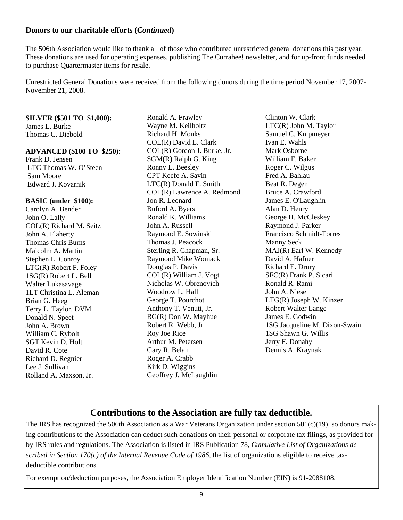#### **Donors to our charitable efforts (***Continued***)**

The 506th Association would like to thank all of those who contributed unrestricted general donations this past year. These donations are used for operating expenses, publishing The Currahee! newsletter, and for up-front funds needed to purchase Quartermaster items for resale.

Unrestricted General Donations were received from the following donors during the time period November 17, 2007- November 21, 2008.

#### **SILVER (\$501 TO \$1,000):** James L. Burke

Thomas C. Diebold

#### **ADVANCED (\$100 TO \$250):**

Frank D. Jensen LTC Thomas W. O'Steen Sam Moore Edward J. Kovarnik

#### **BASIC (under \$100):**

Carolyn A. Bender John O. Lally COL(R) Richard M. Seitz John A. Flaherty Thomas Chris Burns Malcolm A. Martin Stephen L. Conroy LTG(R) Robert F. Foley 1SG(R) Robert L. Bell Walter Lukasavage 1LT Christina L. Aleman Brian G. Heeg Terry L. Taylor, DVM Donald N. Speet John A. Brown William C. Rybolt SGT Kevin D. Holt David R. Cote Richard D. Regnier Lee J. Sullivan Rolland A. Maxson, Jr.

Ronald A. Frawley Wayne M. Keilholtz Richard H. Monks COL(R) David L. Clark COL(R) Gordon J. Burke, Jr. SGM(R) Ralph G. King Ronny L. Beesley CPT Keefe A. Savin LTC(R) Donald F. Smith COL(R) Lawrence A. Redmond Jon R. Leonard Buford A. Byers Ronald K. Williams John A. Russell Raymond E. Sowinski Thomas J. Peacock Sterling R. Chapman, Sr. Raymond Mike Womack Douglas P. Davis COL(R) William J. Vogt Nicholas W. Obrenovich Woodrow L. Hall George T. Pourchot Anthony T. Venuti, Jr. BG(R) Don W. Mayhue Robert R. Webb, Jr. Roy Joe Rice Arthur M. Petersen Gary R. Belair Roger A. Crabb Kirk D. Wiggins Geoffrey J. McLaughlin

Clinton W. Clark LTC(R) John M. Taylor Samuel C. Knipmeyer Ivan E. Wahls Mark Osborne William F. Baker Roger C. Wilgus Fred A. Bahlau Beat R. Degen Bruce A. Crawford James E. O'Laughlin Alan D. Henry George H. McCleskey Raymond J. Parker Francisco Schmidt-Torres Manny Seck MAJ(R) Earl W. Kennedy David A. Hafner Richard E. Drury SFC(R) Frank P. Sicari Ronald R. Rami John A. Niesel LTG(R) Joseph W. Kinzer Robert Walter Lange James E. Godwin 1SG Jacqueline M. Dixon-Swain 1SG Shawn G. Willis Jerry F. Donahy Dennis A. Kraynak

#### **Contributions to the Association are fully tax deductible.**

The IRS has recognized the 506th Association as a War Veterans Organization under section 501(c)(19), so donors making contributions to the Association can deduct such donations on their personal or corporate tax filings, as provided for by IRS rules and regulations. The Association is listed in IRS Publication 78, *Cumulative List of Organizations described in Section 170(c) of the Internal Revenue Code of 1986*, the list of organizations eligible to receive taxdeductible contributions.

For exemption/deduction purposes, the Association Employer Identification Number (EIN) is 91-2088108.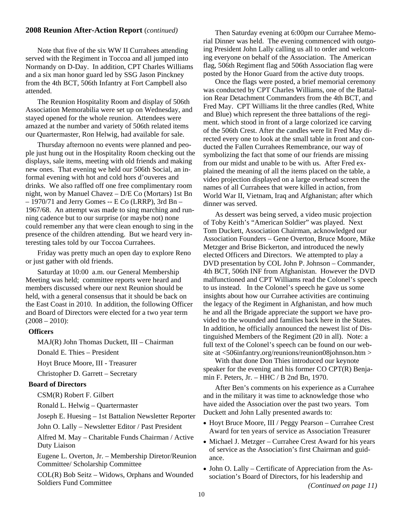#### **2008 Reunion After-Action Report** (*continued)* Then Saturday evening at 6:00pm our Currahee Memo-

 Note that five of the six WW II Currahees attending served with the Regiment in Toccoa and all jumped into Normandy on D-Day. In addition, CPT Charles Williams and a six man honor guard led by SSG Jason Pinckney from the 4th BCT, 506th Infantry at Fort Campbell also attended.

 The Reunion Hospitality Room and display of 506th Association Memorabilia were set up on Wednesday, and stayed opened for the whole reunion. Attendees were amazed at the number and variety of 506th related items our Quartermaster, Ron Helwig, had available for sale.

 Thursday afternoon no events were planned and people just hung out in the Hospitality Room checking out the displays, sale items, meeting with old friends and making new ones. That evening we held our 506th Social, an informal evening with hot and cold hors d'ouveres and drinks. We also raffled off one free complimentary room night, won by Manuel Chavez – D/E Co (Mortars) 1st Bn  $-1970/71$  and Jerry Gomes -- E Co (LRRP), 3rd Bn -1967/68. An attempt was made to sing marching and running cadence but to our surprise (or maybe not) none could remember any that were clean enough to sing in the presence of the children attending. But we heard very interesting tales told by our Toccoa Currahees.

 Friday was pretty much an open day to explore Reno or just gather with old friends.

 Saturday at 10:00 a.m. our General Membership Meeting was held; committee reports were heard and members discussed where our next Reunion should be held, with a general consensus that it should be back on the East Coast in 2010. In addition, the following Officer and Board of Directors were elected for a two year term  $(2008 - 2010)$ :

#### **Officers**

MAJ(R) John Thomas Duckett, III – Chairman

Donald E. Thies – President

Hoyt Bruce Moore, III - Treasurer

Christopher D. Garrett – Secretary

#### **Board of Directors**

CSM(R) Robert F. Gilbert

Ronald L. Helwig – Quartermaster

Joseph E. Huesing – 1st Battalion Newsletter Reporter

John O. Lally – Newsletter Editor / Past President

 Alfred M. May – Charitable Funds Chairman / Active Duty Liaison

 Eugene L. Overton, Jr. – Membership Diretor/Reunion Committee/ Scholarship Committee

COL(R) Bob Seitz – Widows, Orphans and Wounded

rial Dinner was held. The evening commenced with outgoing President John Lally calling us all to order and welcoming everyone on behalf of the Association. The American flag, 506th Regiment flag and 506th Association flag were posted by the Honor Guard from the active duty troops.

 Once the flags were posted, a brief memorial ceremony was conducted by CPT Charles Williams, one of the Battalion Rear Detachment Commanders from the 4th BCT, and Fred May. CPT Williams lit the three candles (Red, White and Blue) which represent the three battalions of the regiment. which stood in front of a large colorized ice carving of the 506th Crest. After the candles were lit Fred May directed every one to look at the small table in front and conducted the Fallen Currahees Remembrance, our way of symbolizing the fact that some of our friends are missing from our midst and unable to be with us. After Fred explained the meaning of all the items placed on the table, a video projection displayed on a large overhead screen the names of all Currahees that were killed in action, from World War II, Vietnam, Iraq and Afghanistan; after which dinner was served.

 As dessert was being served, a video music projection of Toby Keith's "American Soldier" was played. Next Tom Duckett, Association Chairman, acknowledged our Association Founders – Gene Overton, Bruce Moore, Mike Metzger and Brise Bickerton, and introduced the newly elected Officers and Directors. We attempted to play a DVD presentation by COL John P. Johnson – Commander, 4th BCT, 506th INF from Afghanistan. However the DVD malfunctioned and CPT Williams read the Colonel's speech to us instead. In the Colonel's speech he gave us some insights about how our Currahee activities are continuing the legacy of the Regiment in Afghanistan, and how much he and all the Brigade appreciate the support we have provided to the wounded and families back here in the States. In addition, he officially announced the newest list of Distinguished Members of the Regiment (20 in all). Note: a full text of the Colonel's speech can be found on our website at <506infantry.org/reunions/reunion08johnson.htm >

 With that done Don Thies introduced our keynote speaker for the evening and his former CO CPT(R) Benjamin F. Peters, Jr. – HHC / B 2nd Bn, 1970.

 After Ben's comments on his experience as a Currahee and in the military it was time to acknowledge those who have aided the Association over the past two years. Tom Duckett and John Lally presented awards to:

- Hoyt Bruce Moore, III / Peggy Pearson Currahee Crest Award for ten years of service as Association Treasurer
- Michael J. Metzger Currahee Crest Award for his years of service as the Association's first Chairman and guidance.
- Soldiers Fund Committee *(Continued on page 11)* • John O. Lally – Certificate of Appreciation from the Association's Board of Directors, for his leadership and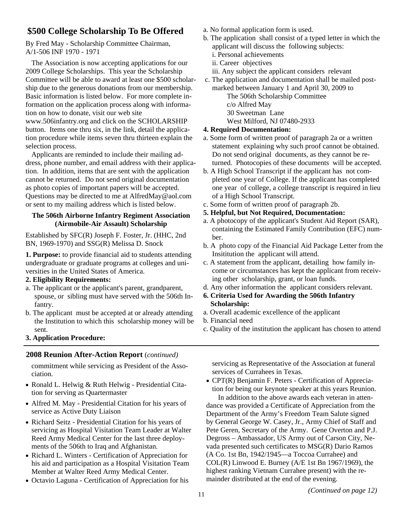#### **\$500 College Scholarship To Be Offered**

By Fred May - Scholarship Committee Chairman, A/1-506 INF 1970 - 1971

 The Association is now accepting applications for our 2009 College Scholarships. This year the Scholarship Committee will be able to award at least one \$500 scholarship due to the generous donations from our membership. Basic information is listed below. For more complete information on the application process along with information on how to donate, visit our web site www.506infantry.org and click on the SCHOLARSHIP button. Items one thru six, in the link, detail the application procedure while items seven thru thirteen explain the selection process.

Applicants are reminded to include their mailing address, phone number, and email address with their application. In addition, items that are sent with the application cannot be returned. Do not send original documentation as photo copies of important papers will be accepted. Questions may be directed to me at AlfredMay@aol.com or sent to my mailing address which is listed below.

#### **The 506th Airborne Infantry Regiment Association (Airmobile-Air Assault) Scholarship**

Established by SFC(R) Joseph F. Foster, Jr. (HHC, 2nd BN, 1969-1970) and SSG(R) Melissa D. Snock

**1. Purpose:** to provide financial aid to students attending undergraduate or graduate programs at colleges and universities in the United States of America.

#### **2. Eligibility Requirements:**

- a. The applicant or the applicant's parent, grandparent, spouse, or sibling must have served with the 506th Infantry.
- b. The applicant must be accepted at or already attending the Institution to which this scholarship money will be sent.
- **3. Application Procedure:**

#### **2008 Reunion After-Action Report** (*continued)*

commitment while servicing as President of the Association.

- Ronald L. Helwig & Ruth Helwig Presidential Citation for serving as Quartermaster
- Alfred M. May Presidential Citation for his years of service as Active Duty Liaison
- Richard Seitz Presidential Citation for his years of servicing as Hospital Visitation Team Leader at Walter Reed Army Medical Center for the last three deployments of the 506th to Iraq and Afghanistan.
- Richard L. Winters Certification of Appreciation for his aid and participation as a Hospital Visitation Team Member at Walter Reed Army Medical Center.
- Octavio Laguna Certification of Appreciation for his
- a. No formal application form is used.
- b. The application shall consist of a typed letter in which the applicant will discuss the following subjects:
	- i. Personal achievements
	- ii. Career objectives
	- iii. Any subject the applicant considers relevant
- c. The application and documentation shall be mailed postmarked between January 1 and April 30, 2009 to The 506th Scholarship Committee
	- c/o Alfred May
	- 30 Sweetman Lane

West Milford, NJ 07480-2933

#### **4. Required Documentation:**

- a. Some form of written proof of paragraph 2a or a written statement explaining why such proof cannot be obtained. Do not send original documents, as they cannot be returned. Photocopies of these documents will be accepted.
- b. A High School Transcript if the applicant has not completed one year of College. If the applicant has completed one year of college, a college transcript is required in lieu of a High School Transcript.
- c. Some form of written proof of paragraph 2b.
- **5. Helpful, but Not Required, Documentation:**
- a. A photocopy of the applicant's Student Aid Report (SAR), containing the Estimated Family Contribution (EFC) number.
- b. A photo copy of the Financial Aid Package Letter from the Insititution the applicant will attend.
- c. A statement from the applicant, detailing how family income or circumstances has kept the applicant from receiving other scholarship, grant, or loan funds.
- d. Any other information the applicant considers relevant.
- **6. Criteria Used for Awarding the 506th Infantry Scholarship:**
- a. Overall academic excellence of the applicant
- b. Financial need
- c. Quality of the institution the applicant has chosen to attend

servicing as Representative of the Association at funeral services of Currahees in Texas.

• CPT(R) Benjamin F. Peters - Certification of Appreciation for being our keynote speaker at this years Reunion.

 In addition to the above awards each veteran in attendance was provided a Certificate of Appreciation from the Department of the Army's Freedom Team Salute signed by General George W. Casey, Jr., Army Chief of Staff and Pete Geren, Secretary of the Army. Gene Overton and P.J. Degross – Ambassador, US Army out of Carson City, Nevada presented such certificates to MSG(R) Dario Ramos (A Co. 1st Bn, 1942/1945—a Toccoa Currahee) and COL(R) Linwood E. Burney (A/E 1st Bn 1967/1969), the highest ranking Vietnam Currahee present) with the remainder distributed at the end of the evening.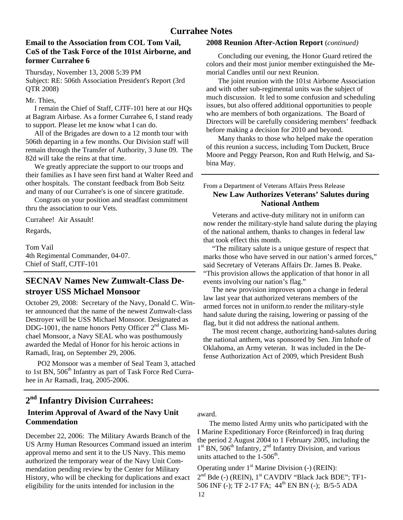#### **Currahee Notes**

#### **Email to the Association from COL Tom Vail, CoS of the Task Force of the 101st Airborne, and former Currahee 6**

Thursday, November 13, 2008 5:39 PM Subject: RE: 506th Association President's Report (3rd QTR 2008)

Mr. Thies,

 I remain the Chief of Staff, CJTF-101 here at our HQs at Bagram Airbase. As a former Currahee 6, I stand ready to support. Please let me know what I can do.

 All of the Brigades are down to a 12 month tour with 506th departing in a few months. Our Division staff will remain through the Transfer of Authority, 3 June 09. The 82d will take the reins at that time.

 We greatly appreciate the support to our troops and their families as I have seen first hand at Walter Reed and other hospitals. The constant feedback from Bob Seitz and many of our Currahee's is one of sincere gratitude.

 Congrats on your position and steadfast commitment thru the association to our Vets.

Currahee! Air Assault!

Regards,

1

Tom Vail 4th Regimental Commander, 04-07. Chief of Staff, CJTF-101

#### **SECNAV Names New Zumwalt-Class Destroyer USS Michael Monsoor**

October 29, 2008: Secretary of the Navy, Donald C. Winter announced that the name of the newest Zumwalt-class Destroyer will be USS Michael Monsoor. Designated as DDG-1001, the name honors Petty Officer  $2<sup>nd</sup>$  Class Michael Monsoor, a Navy SEAL who was posthumously awarded the Medal of Honor for his heroic actions in Ramadi, Iraq, on September 29, 2006.

 PO2 Monsoor was a member of Seal Team 3, attached to 1st BN, 506<sup>th</sup> Infantry as part of Task Force Red Currahee in Ar Ramadi, Iraq, 2005-2006.

## **2nd Infantry Division Currahees:**

#### **Interim Approval of Award of the Navy Unit Commendation**

December 22, 2006: The Military Awards Branch of the US Army Human Resources Command issued an interim approval memo and sent it to the US Navy. This memo authorized the temporary wear of the Navy Unit Commendation pending review by the Center for Military History, who will be checking for duplications and exact eligibility for the units intended for inclusion in the

#### **2008 Reunion After-Action Report** (*continued)*

 Concluding our evening, the Honor Guard retired the colors and their most junior member extinguished the Memorial Candles until our next Reunion.

The joint reunion with the 101st Airborne Association and with other sub-regimental units was the subject of much discussion. It led to some confusion and scheduling issues, but also offered additional opportunities to people who are members of both organizations. The Board of Directors will be carefully considering members' feedback before making a decision for 2010 and beyond.

 Many thanks to those who helped make the operation of this reunion a success, including Tom Duckett, Bruce Moore and Peggy Pearson, Ron and Ruth Helwig, and Sabina May.

#### From a Department of Veterans Affairs Press Release **New Law Authorizes Veterans' Salutes during National Anthem**

 Veterans and active-duty military not in uniform can now render the military-style hand salute during the playing of the national anthem, thanks to changes in federal law that took effect this month.

 "The military salute is a unique gesture of respect that marks those who have served in our nation's armed forces," said Secretary of Veterans Affairs Dr. James B. Peake. "This provision allows the application of that honor in all events involving our nation's flag."

 The new provision improves upon a change in federal law last year that authorized veterans members of the armed forces not in uniform.to render the military-style hand salute during the raising, lowering or passing of the flag, but it did not address the national anthem.

 The most recent change, authorizing hand-salutes during the national anthem, was sponsored by Sen. Jim Inhofe of Oklahoma, an Army veteran. It was included in the Defense Authorization Act of 2009, which President Bush

award.

 The memo listed Army units who participated with the I Marine Expeditionary Force (Reinforced) in Iraq during the period 2 August 2004 to 1 February 2005, including the  $1<sup>st</sup>$  BN, 506<sup>th</sup> Infantry,  $2<sup>nd</sup>$  Infantry Division, and various units attached to the  $1-506<sup>th</sup>$ .

12 Operating under  $1<sup>st</sup>$  Marine Division (-) (REIN): 2<sup>nd</sup> Bde (-) (REIN), 1<sup>st</sup> CAVDIV "Black Jack BDE"; TF1-506 INF (-); TF 2-17 FA; 44<sup>th</sup> EN BN (-); B/5-5 ADA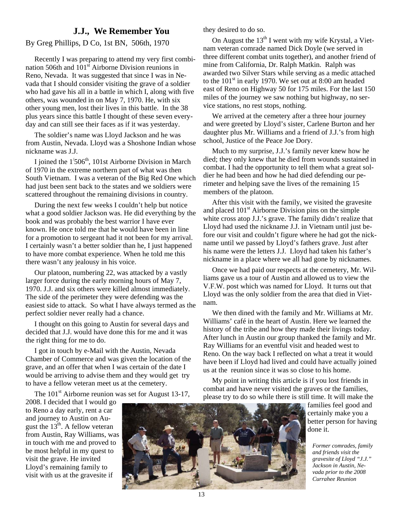#### **J.J., We Remember You**

#### By Greg Phillips, D Co, 1st BN, 506th, 1970

 Recently I was preparing to attend my very first combination 506th and  $101<sup>st</sup>$  Airborne Division reunions in Reno, Nevada. It was suggested that since I was in Nevada that I should consider visiting the grave of a soldier who had gave his all in a battle in which I, along with five others, was wounded in on May 7, 1970. He, with six other young men, lost their lives in this battle. In the 38 plus years since this battle I thought of these seven everyday and can still see their faces as if it was yesterday.

 The soldier's name was Lloyd Jackson and he was from Austin, Nevada. Lloyd was a Shoshone Indian whose nickname was J.J.

I joined the  $1/506<sup>th</sup>$ , 101st Airborne Division in March of 1970 in the extreme northern part of what was then South Vietnam. I was a veteran of the Big Red One which had just been sent back to the states and we soldiers were scattered throughout the remaining divisions in country.

 During the next few weeks I couldn't help but notice what a good soldier Jackson was. He did everything by the book and was probably the best warrior I have ever known. He once told me that he would have been in line for a promotion to sergeant had it not been for my arrival. I certainly wasn't a better soldier than he, I just happened to have more combat experience. When he told me this there wasn't any jealousy in his voice.

 Our platoon, numbering 22, was attacked by a vastly larger force during the early morning hours of May 7, 1970. J.J. and six others were killed almost immediately. The side of the perimeter they were defending was the easiest side to attack. So what I have always termed as the perfect soldier never really had a chance.

 I thought on this going to Austin for several days and decided that J.J. would have done this for me and it was the right thing for me to do.

 I got in touch by e-Mail with the Austin, Nevada Chamber of Commerce and was given the location of the grave, and an offer that when I was certain of the date I would be arriving to advise them and they would get try to have a fellow veteran meet us at the cemetery.

The  $101<sup>st</sup>$  Airborne reunion was set for August 13-17,

2008. I decided that I would go to Reno a day early, rent a car and journey to Austin on August the  $13<sup>th</sup>$ . A fellow veteran from Austin, Ray Williams, was in touch with me and proved to be most helpful in my quest to visit the grave. He invited Lloyd's remaining family to visit with us at the gravesite if



they desired to do so.

On August the  $13<sup>th</sup>$  I went with my wife Krystal, a Vietnam veteran comrade named Dick Doyle (we served in three different combat units together), and another friend of mine from California, Dr. Ralph Matkin. Ralph was awarded two Silver Stars while serving as a medic attached to the  $101<sup>st</sup>$  in early 1970. We set out at 8:00 am headed east of Reno on Highway 50 for 175 miles. For the last 150 miles of the journey we saw nothing but highway, no service stations, no rest stops, nothing.

 We arrived at the cemetery after a three hour journey and were greeted by Lloyd's sister, Carlene Burton and her daughter plus Mr. Williams and a friend of J.J.'s from high school, Justice of the Peace Joe Dory.

 Much to my surprise, J.J.'s family never knew how he died; they only knew that he died from wounds sustained in combat. I had the opportunity to tell them what a great soldier he had been and how he had died defending our perimeter and helping save the lives of the remaining 15 members of the platoon.

 After this visit with the family, we visited the gravesite and placed  $101<sup>st</sup>$  Airborne Division pins on the simple white cross atop J.J.'s grave. The family didn't realize that Lloyd had used the nickname J.J. in Vietnam until just before our visit and couldn't figure where he had got the nickname until we passed by Lloyd's fathers grave. Just after his name were the letters J.J. Lloyd had taken his father's nickname in a place where we all had gone by nicknames.

 Once we had paid our respects at the cemetery, Mr. Williams gave us a tour of Austin and allowed us to view the V.F.W. post which was named for Lloyd. It turns out that Lloyd was the only soldier from the area that died in Vietnam.

 We then dined with the family and Mr. Williams at Mr. Williams' café in the heart of Austin. Here we learned the history of the tribe and how they made their livings today. After lunch in Austin our group thanked the family and Mr. Ray Williams for an eventful visit and headed west to Reno. On the way back I reflected on what a treat it would have been if Lloyd had lived and could have actually joined us at the reunion since it was so close to his home.

 My point in writing this article is if you lost friends in combat and have never visited the graves or the families, please try to do so while there is still time. It will make the

> families feel good and certainly make you a better person for having done it.

*Former comrades, family and friends visit the gravesite of Lloyd "J.J." Jackson in Austin, Nevada prior to the 2008 Currahee Reunion*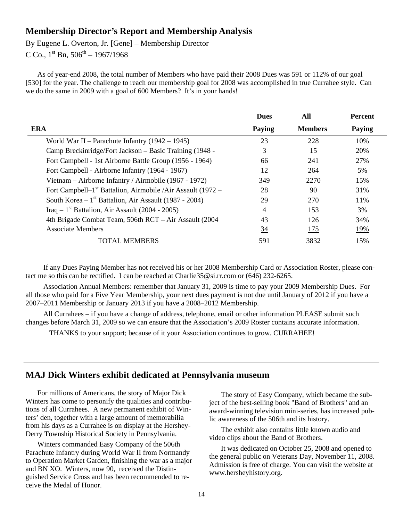#### **Membership Director's Report and Membership Analysis**

By Eugene L. Overton, Jr. [Gene] – Membership Director

C Co.,  $1^{st}$  Bn,  $506^{th}$  – 1967/1968

As of year-end 2008, the total number of Members who have paid their 2008 Dues was 591 or 112% of our goal [530] for the year. The challenge to reach our membership goal for 2008 was accomplished in true Currahee style. Can we do the same in 2009 with a goal of 600 Members? It's in your hands!

|                                                                | <b>Dues</b> | All            | <b>Percent</b> |
|----------------------------------------------------------------|-------------|----------------|----------------|
| <b>ERA</b>                                                     | Paying      | <b>Members</b> | Paying         |
| World War II – Parachute Infantry $(1942 – 1945)$              | 23          | 228            | 10%            |
| Camp Breckinridge/Fort Jackson – Basic Training (1948 -        | 3           | 15             | 20%            |
| Fort Campbell - 1st Airborne Battle Group (1956 - 1964)        | 66          | 241            | 27%            |
| Fort Campbell - Airborne Infantry (1964 - 1967)                | 12          | 264            | 5%             |
| Vietnam – Airborne Infantry / Airmobile (1967 - 1972)          | 349         | 2270           | 15%            |
| Fort Campbell– $1st$ Battalion, Airmobile /Air Assault (1972 – | 28          | 90             | 31%            |
| South Korea – $1st$ Battalion, Air Assault (1987 - 2004)       | 29          | 270            | 11\%           |
| Iraq – 1 <sup>st</sup> Battalion, Air Assault (2004 - 2005)    | 4           | 153            | 3%             |
| 4th Brigade Combat Team, 506th RCT – Air Assault (2004)        | 43          | 126            | 34%            |
| <b>Associate Members</b>                                       | <u>34</u>   | <u> 175</u>    | <u>19%</u>     |
| <b>TOTAL MEMBERS</b>                                           | 591         | 3832           | 15%            |

 If any Dues Paying Member has not received his or her 2008 Membership Card or Association Roster, please contact me so this can be rectified. I can be reached at Charlie35@si.rr.com or (646) 232-6265.

 Association Annual Members: remember that January 31, 2009 is time to pay your 2009 Membership Dues. For all those who paid for a Five Year Membership, your next dues payment is not due until January of 2012 if you have a 2007–2011 Membership or January 2013 if you have a 2008–2012 Membership.

 All Currahees – if you have a change of address, telephone, email or other information PLEASE submit such changes before March 31, 2009 so we can ensure that the Association's 2009 Roster contains accurate information.

THANKS to your support; because of it your Association continues to grow. CURRAHEE!

#### **MAJ Dick Winters exhibit dedicated at Pennsylvania museum**

For millions of Americans, the story of Major Dick Winters has come to personify the qualities and contributions of all Currahees. A new permanent exhibit of Winters' den, together with a large amount of memorabilia from his days as a Currahee is on display at the Hershey-Derry Township Historical Society in Pennsylvania.

 Winters commanded Easy Company of the 506th Parachute Infantry during World War II from Normandy to Operation Market Garden, finishing the war as a major and BN XO. Winters, now 90, received the Distinguished Service Cross and has been recommended to receive the Medal of Honor.

 The story of Easy Company, which became the subject of the best-selling book "Band of Brothers" and an award-winning television mini-series, has increased public awareness of the 506th and its history.

 The exhibit also contains little known audio and video clips about the Band of Brothers.

 It was dedicated on October 25, 2008 and opened to the general public on Veterans Day, November 11, 2008. Admission is free of charge. You can visit the website at www.hersheyhistory.org.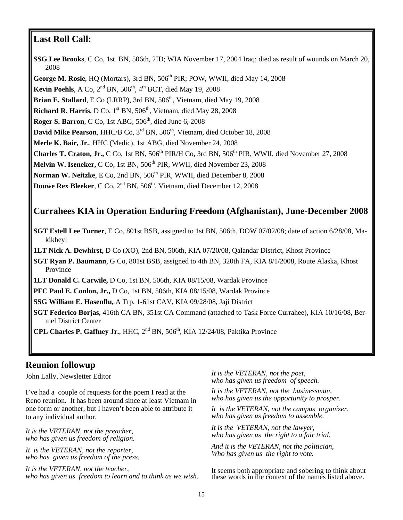#### **Last Roll Call:**

**SSG Lee Brooks**, C Co, 1st BN, 506th, 2ID; WIA November 17, 2004 Iraq; died as result of wounds on March 20, 2008 George M. Rosie, HQ (Mortars), 3rd BN, 506<sup>th</sup> PIR; POW, WWII, died May 14, 2008 **Kevin Poehls**, A Co,  $2<sup>nd</sup>$  BN,  $506<sup>th</sup>$ ,  $4<sup>th</sup>$  BCT, died May 19, 2008 **Brian E. Stallard**, E Co (LRRP), 3rd BN,  $506<sup>th</sup>$ , Vietnam, died May 19, 2008 **Richard R. Harris**, D Co,  $1<sup>st</sup>$  BN,  $506<sup>th</sup>$ , Vietnam, died May 28, 2008 Roger S. Barron, C Co, 1st ABG, 506<sup>th</sup>, died June 6, 2008 David Mike Pearson, HHC/B Co, 3<sup>rd</sup> BN, 506<sup>th</sup>, Vietnam, died October 18, 2008 **Merle K. Bair, Jr.**, HHC (Medic), 1st ABG, died November 24, 2008 **Charles T. Craton, Jr.,** C Co, 1st BN,  $506<sup>th</sup>$  PIR/H Co, 3rd BN,  $506<sup>th</sup>$  PIR, WWII, died November 27, 2008 **Melvin W. Iseneker,** C Co, 1st BN, 506<sup>th</sup> PIR, WWII, died November 23, 2008 Norman W. Neitzke, E Co, 2nd BN, 506<sup>th</sup> PIR, WWII, died December 8, 2008 **Douwe Rex Bleeker**, C Co, 2<sup>nd</sup> BN, 506<sup>th</sup>, Vietnam, died December 12, 2008

#### **Currahees KIA in Operation Enduring Freedom (Afghanistan), June-December 2008**

**SGT Estell Lee Turner**, E Co, 801st BSB, assigned to 1st BN, 506th, DOW 07/02/08; date of action 6/28/08, Makikheyl

**1LT Nick A. Dewhirst,** D Co (XO), 2nd BN, 506th, KIA 07/20/08, Qalandar District, Khost Province

**SGT Ryan P. Baumann**, G Co, 801st BSB, assigned to 4th BN, 320th FA, KIA 8/1/2008, Route Alaska, Khost Province

**1LT Donald C. Carwile,** D Co, 1st BN, 506th, KIA 08/15/08, Wardak Province

**PFC Paul E. Conlon, Jr.,** D Co, 1st BN, 506th, KIA 08/15/08, Wardak Province

**SSG William E. Hasenflu,** A Trp, 1-61st CAV, KIA 09/28/08, Jaji District

**SGT Federico Borjas**, 416th CA BN, 351st CA Command (attached to Task Force Currahee), KIA 10/16/08, Bermel District Center

**CPL Charles P. Gaffney Jr., HHC,**  $2^{nd}$  **BN,**  $506^{th}$ **, KIA 12/24/08, Paktika Province** 

#### **Reunion followup**

John Lally, Newsletter Editor

I've had a couple of requests for the poem I read at the Reno reunion. It has been around since at least Vietnam in one form or another, but I haven't been able to attribute it to any individual author.

*It is the VETERAN, not the preacher, who has given us freedom of religion.* 

*It is the VETERAN, not the reporter, who has given us freedom of the press.* 

*It is the VETERAN, not the teacher, who has given us freedom to learn and to think as we wish.*  *It is the VETERAN, not the poet, who has given us freedom of speech.* 

*It is the VETERAN, not the businessman, who has given us the opportunity to prosper.* 

*It is the VETERAN, not the campus organizer, who has given us freedom to assemble.* 

*It is the VETERAN, not the lawyer, who has given us the right to a fair trial.* 

*And it is the VETERAN, not the politician, Who has given us the right to vote.* 

It seems both appropriate and sobering to think about these words in the context of the names listed above.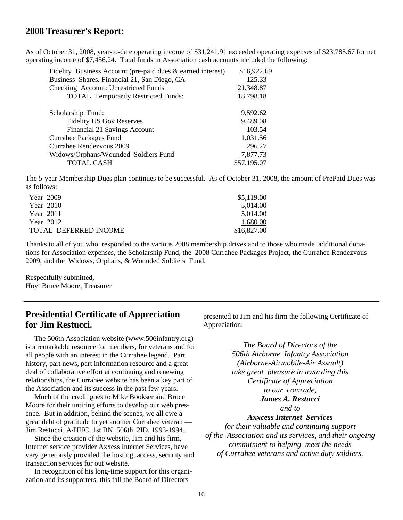#### **2008 Treasurer's Report:**

As of October 31, 2008, year-to-date operating income of \$31,241.91 exceeded operating expenses of \$23,785.67 for net operating income of \$7,456.24. Total funds in Association cash accounts included the following:

| Fidelity Business Account (pre-paid dues & earned interest) | \$16,922.69 |
|-------------------------------------------------------------|-------------|
| Business Shares, Financial 21, San Diego, CA                | 125.33      |
| Checking Account: Unrestricted Funds                        | 21,348.87   |
| <b>TOTAL Temporarily Restricted Funds:</b>                  | 18,798.18   |
|                                                             |             |
| Scholarship Fund:                                           | 9,592.62    |
| <b>Fidelity US Gov Reserves</b>                             | 9,489.08    |
| Financial 21 Savings Account                                | 103.54      |
| Currahee Packages Fund                                      | 1,031.56    |
| Currahee Rendezvous 2009                                    | 296.27      |
| Widows/Orphans/Wounded Soldiers Fund                        | 7,877.73    |
| TOTAL CASH                                                  | \$57,195.07 |

The 5-year Membership Dues plan continues to be successful. As of October 31, 2008, the amount of PrePaid Dues was as follows:

| Year 2009             | \$5,119.00  |
|-----------------------|-------------|
| <b>Year 2010</b>      | 5.014.00    |
| Year 2011             | 5.014.00    |
| Year 2012             | 1,680.00    |
| TOTAL DEFERRED INCOME | \$16,827.00 |

Thanks to all of you who responded to the various 2008 membership drives and to those who made additional donations for Association expenses, the Scholarship Fund, the 2008 Currahee Packages Project, the Currahee Rendezvous 2009, and the Widows, Orphans, & Wounded Soldiers Fund.

Respectfully submitted, Hoyt Bruce Moore, Treasurer

#### **Presidential Certificate of Appreciation for Jim Restucci.**

 The 506th Association website (www.506infantry.org) is a remarkable resource for members, for veterans and for all people with an interest in the Currahee legend. Part history, part news, part information resource and a great deal of collaborative effort at continuing and renewing relationships, the Currahee website has been a key part of the Association and its success in the past few years.

 Much of the credit goes to Mike Bookser and Bruce Moore for their untiring efforts to develop our web presence. But in addition, behind the scenes, we all owe a great debt of gratitude to yet another Currahee veteran — Jim Restucci, A/HHC, 1st BN, 506th, 2ID, 1993-1994..

 Since the creation of the website, Jim and his firm, Internet service provider Axxess Internet Services, have very generously provided the hosting, access, security and transaction services for out website.

 In recognition of his long-time support for this organization and its supporters, this fall the Board of Directors

presented to Jim and his firm the following Certificate of Appreciation:

> *The Board of Directors of the 506th Airborne Infantry Association (Airborne-Airmobile-Air Assault) take great pleasure in awarding this Certificate of Appreciation to our comrade, James A. Restucci and to Axxcess Internet Services*

*for their valuable and continuing support of the Association and its services, and their ongoing commitment to helping meet the needs of Currahee veterans and active duty soldiers.*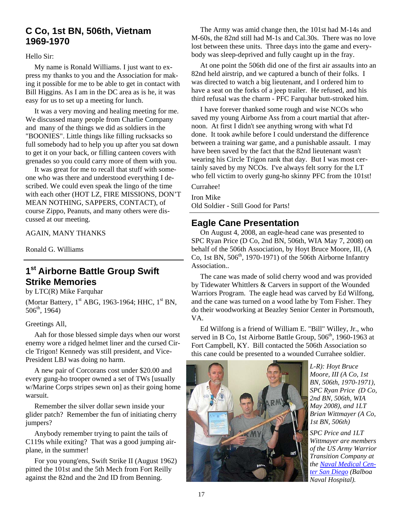#### **C Co, 1st BN, 506th, Vietnam 1969-1970**

Hello Sir:

 My name is Ronald Williams. I just want to express my thanks to you and the Association for making it possible for me to be able to get in contact with Bill Higgins. As I am in the DC area as is he, it was easy for us to set up a meeting for lunch.

 It was a very moving and healing meeting for me. We discussed many people from Charlie Company and many of the things we did as soldiers in the "BOONIES". Little things like filling rucksacks so full somebody had to help you up after you sat down to get it on your back, or filling canteen covers with grenades so you could carry more of them with you.

 It was great for me to recall that stuff with someone who was there and understood everything I described. We could even speak the lingo of the time with each other (HOT LZ, FIRE MISSIONS, DON'T MEAN NOTHING, SAPPERS, CONTACT), of course Zippo, Peanuts, and many others were discussed at our meeting.

AGAIN, MANY THANKS

Ronald G. Williams

-

## **1st Airborne Battle Group Swift Strike Memories**

by LTC(R) Mike Farquhar

(Mortar Battery,  $1<sup>st</sup> ABG$ , 1963-1964; HHC,  $1<sup>st</sup> BN$ ,  $506<sup>th</sup>$ , 1964)

#### Greetings All,

 Aah for those blessed simple days when our worst enemy wore a ridged helmet liner and the cursed Circle Trigon! Kennedy was still president, and Vice-President LBJ was doing no harm.

 A new pair of Corcorans cost under \$20.00 and every gung-ho trooper owned a set of TWs [usually w/Marine Corps stripes sewn on] as their going home warsuit.

 Remember the silver dollar sewn inside your glider patch? Remember the fun of initiating cherry jumpers?

 Anybody remember trying to paint the tails of C119s while exiting? That was a good jumping airplane, in the summer!

 For you young'ens, Swift Strike II (August 1962) pitted the 101st and the 5th Mech from Fort Reilly against the 82nd and the 2nd ID from Benning.

 The Army was amid change then, the 101st had M-14s and M-60s, the 82nd still had M-1s and Cal.30s. There was no love lost between these units. Three days into the game and everybody was sleep-deprived and fully caught up in the fray.

 At one point the 506th did one of the first air assaults into an 82nd held airstrip, and we captured a bunch of their folks. I was directed to watch a big lieutenant, and I ordered him to have a seat on the forks of a jeep trailer. He refused, and his third refusal was the charm - PFC Farquhar butt-stroked him.

 I have forever thanked some rough and wise NCOs who saved my young Airborne Ass from a court martial that afternoon. At first I didn't see anything wrong with what I'd done. It took awhile before I could understand the difference between a training war game, and a punishable assault. I may have been saved by the fact that the 82nd lieutenant wasn't wearing his Circle Trigon rank that day. But I was most certainly saved by my NCOs. I've always felt sorry for the LT who fell victim to overly gung-ho skinny PFC from the 101st!

Currahee!

٦

Iron Mike Old Soldier - Still Good for Parts!

## **Eagle Cane Presentation**

 On August 4, 2008, an eagle-head cane was presented to SPC Ryan Price (D Co, 2nd BN, 506th, WIA May 7, 2008) on behalf of the 506th Association, by Hoyt Bruce Moore, III, (A Co, 1st BN,  $506<sup>th</sup>$ , 1970-1971) of the 506th Airborne Infantry Association..

 The cane was made of solid cherry wood and was provided by Tidewater Whittlers & Carvers in support of the Wounded Warriors Program. The eagle head was carved by Ed Wilfong, and the cane was turned on a wood lathe by Tom Fisher. They do their woodworking at Beazley Senior Center in Portsmouth, VA.

 Ed Wilfong is a friend of William E. "Bill" Willey, Jr., who served in B Co, 1st Airborne Battle Group, 506<sup>th</sup>, 1960-1963 at Fort Campbell, KY. Bill contacted the 506th Association so this cane could be presented to a wounded Currahee soldier.



*L-R): Hoyt Bruce Moore, III (A Co, 1st BN, 506th, 1970-1971), SPC Ryan Price (D Co, 2nd BN, 506th, WIA May 2008), and 1LT Brian Wittmayer (A Co, 1st BN, 506th)* 

*SPC Price and 1LT Wittmayer are members of the US Army Warrior Transition Company at the Naval Medical Center San Diego (Balboa Naval Hospital).*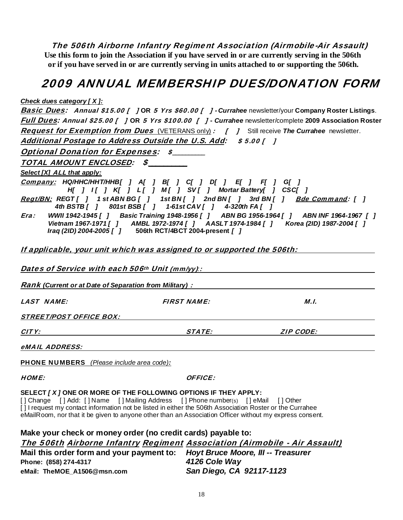The 506th Airborne Infantry Regiment Association (Airmobile-Air Assault) **Use this form to join the Association if you have served in or are currently serving in the 506th or if you have served in or are currently serving in units attached to or supporting the 506th.** 

## 2009 ANNUAL MEMBERSHIP DUES/DONATION FORM

#### *Check dues category [ X ]:*

| $20.1$ anso valued of $1.21$                                                                                                                                                                                |                    | <b>Basic Dues:</b> Annual \$15.00 [ ] OR 5 Yrs \$60.00 [ ] - Currahee newsletter/your Company Roster Listings.                                                                       |
|-------------------------------------------------------------------------------------------------------------------------------------------------------------------------------------------------------------|--------------------|--------------------------------------------------------------------------------------------------------------------------------------------------------------------------------------|
|                                                                                                                                                                                                             |                    | Full Dues: Annual \$25.00 [ ] OR 5 Yrs \$100.00 [ ] - Currahee newsletter/complete 2009 Association Roster                                                                           |
| <b>Request for Exemption from Dues</b> (VETERANS only): [ ] Still receive The Currahee newsletter.                                                                                                          |                    |                                                                                                                                                                                      |
| Additional Postage to Address Outside the U.S. Add: \$5.00 [ ]                                                                                                                                              |                    |                                                                                                                                                                                      |
| <b>Optional Donation for Expenses: \$______</b>                                                                                                                                                             |                    |                                                                                                                                                                                      |
| TOTAL AMOUNT ENCLOSED: \$                                                                                                                                                                                   |                    |                                                                                                                                                                                      |
| Select [X] ALL that apply:                                                                                                                                                                                  |                    |                                                                                                                                                                                      |
| Company: HQ/HHC/HHT/HHB[ ] A[ ] B[ ] C[ ] D[ ] E[ ] F[ ] G[ ]<br>H[ ] I[ ] K[ ] L[ ] M[ ] SV[ ] Mortar Battery[ ] CSC[ ]<br>Regt/BN: REGT[ ] 1 st ABN BG[ ] 1 st BN[ ] 2nd BN[ ] 3rd BN[ ] Bde Command: [ ] |                    |                                                                                                                                                                                      |
| 4th BSTB[] 801st BSB[] 1-61st CAV[] 4-320th FA[]                                                                                                                                                            |                    |                                                                                                                                                                                      |
| Era:<br>Iraq (2ID) 2004-2005 [ ] 506th RCT/4BCT 2004-present [ ]                                                                                                                                            |                    | WWII 1942-1945 [ ] Basic Training 1948-1956 [ ] ABN BG 1956-1964 [ ] ABN INF 1964-1967 [ ]<br>Vietnam 1967-1971 [ ] AMBL 1972-1974 [ ] AASLT 1974-1984 [ ] Korea (2ID) 1987-2004 [ ] |
| If applicable, your unit which was assigned to or supported the 506th:                                                                                                                                      |                    |                                                                                                                                                                                      |
| Dates of Service with each 506th Unit (mm/yy):                                                                                                                                                              |                    |                                                                                                                                                                                      |
| <b>Rank</b> (Current or at Date of Separation from Military) : Name and Current Current Current or at Date of Separation from Military) :                                                                   |                    |                                                                                                                                                                                      |
| <b>LAST NAME:</b>                                                                                                                                                                                           | <b>FIRST NAME:</b> | M.I.                                                                                                                                                                                 |
| <i>STREET/POST OFFICE BOX:</i>                                                                                                                                                                              |                    |                                                                                                                                                                                      |
| CITY:<br><u> 1989 - Johann Barbara, martin amerikan personal (</u>                                                                                                                                          |                    | STATE: A STATE:<br><b>ZIP CODE:</b>                                                                                                                                                  |
| eMAIL ADDRESS:                                                                                                                                                                                              |                    |                                                                                                                                                                                      |
| <b>PHONE NUMBERS</b> (Please include area code):                                                                                                                                                            |                    |                                                                                                                                                                                      |
| <b>HOME:</b>                                                                                                                                                                                                | <b>OFFICE:</b>     |                                                                                                                                                                                      |
|                                                                                                                                                                                                             |                    |                                                                                                                                                                                      |

**SELECT** *[ X ]* **ONE OR MORE OF THE FOLLOWING OPTIONS IF THEY APPLY:** [] Change [] Add: [] Name [] Mailing Address [] Phone number(s) [] eMail [] Other

[ ] I request my contact information not be listed in either the 506th Association Roster or the Currahee eMailRoom, nor that it be given to anyone other than an Association Officer without my express consent.

| Make your check or money order (no credit cards) payable to:                 |                          |  |  |  |
|------------------------------------------------------------------------------|--------------------------|--|--|--|
| The 506th Airborne Infantry Regiment Association (Airmobile - Air Assault)   |                          |  |  |  |
| Mail this order form and your payment to: Hoyt Bruce Moore, III -- Treasurer |                          |  |  |  |
| Phone: (858) 274-4317                                                        | 4126 Cole Way            |  |  |  |
| eMail: TheMOE A1506@msn.com                                                  | San Diego, CA 92117-1123 |  |  |  |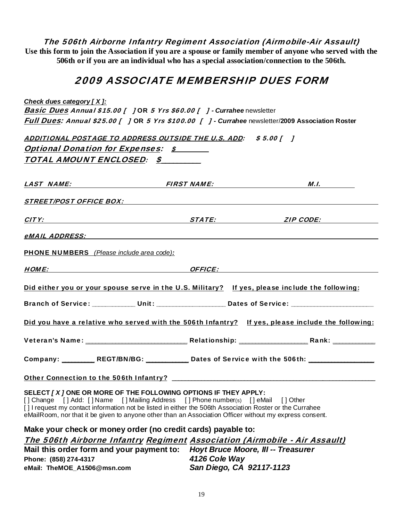The 506th Airborne Infantry Regiment Association (Airmobile-Air Assault)

**Use this form to join the Association if you are a spouse or family member of anyone who served with the 506th or if you are an individual who has a special association/connection to the 506th.** 

## 2009 ASSOCIATE MEMBERSHIP DUES FORM

*Check dues category [ X ]:*

Basic Dues Annual \$15.00 [ ] OR 5 Yrs \$60.00 [ ] - *Currahee* newsletter Full Dues: Annual \$25.00 [ ] OR 5 Yrs \$100.00 [ ] - *Currahee* newsletter/**2009 Association Roster**

ADDITIONAL POSTAGE TO ADDRESS OUTSIDE THE U.S. ADD: \$5.00 [ ] Optional Donation for Expenses: \$

TOTAL AMOUNT ENCLOSED: \$\_\_\_\_\_\_\_\_\_\_

|                                                  | <u>LAST NAME: FIRST NAME: FIRST NAME:</u>                                                                                                                                                                                                                                                                                                                                    | <u>M.I.</u> |
|--------------------------------------------------|------------------------------------------------------------------------------------------------------------------------------------------------------------------------------------------------------------------------------------------------------------------------------------------------------------------------------------------------------------------------------|-------------|
|                                                  | STREET/POST OFFICE BOX: North and the state of the state of the state of the state of the state of the state of the state of the state of the state of the state of the state of the state of the state of the state of the st                                                                                                                                               |             |
|                                                  |                                                                                                                                                                                                                                                                                                                                                                              |             |
|                                                  |                                                                                                                                                                                                                                                                                                                                                                              |             |
| <b>PHONE NUMBERS</b> (Please include area code): |                                                                                                                                                                                                                                                                                                                                                                              |             |
|                                                  |                                                                                                                                                                                                                                                                                                                                                                              |             |
|                                                  | Did either you or your spouse serve in the U.S. Military? If yes, please include the following:<br>Branch of Service: ____________ Unit: ____________________ Dates of Service: ______________________                                                                                                                                                                       |             |
|                                                  | Did you have a relative who served with the 506th Infantry? If yes, please include the following:                                                                                                                                                                                                                                                                            |             |
|                                                  |                                                                                                                                                                                                                                                                                                                                                                              |             |
|                                                  | Company: _________ REGT/BN/BG: ___________ Dates of Service with the 506th: _______________                                                                                                                                                                                                                                                                                  |             |
|                                                  |                                                                                                                                                                                                                                                                                                                                                                              |             |
|                                                  | SELECT / X / ONE OR MORE OF THE FOLLOWING OPTIONS IF THEY APPLY:<br>[] Change [] Add: [] Name [] Mailing Address [] Phone number(s) [] eMail [] Other<br>[] I request my contact information not be listed in either the 506th Association Roster or the Currahee<br>eMailRoom, nor that it be given to anyone other than an Association Officer without my express consent. |             |

**Make your check or money order (no credit cards) payable to:**  The 506th Airborne Infantry Regiment Association (Airmobile - Air Assault) **Mail this order form and your payment to:** *Hoyt Bruce Moore, III -- Treasurer*  **Phone: (858) 274-4317** *4126 Cole Way*  **eMail: TheMOE\_A1506@msn.com** *San Diego, CA 92117-1123*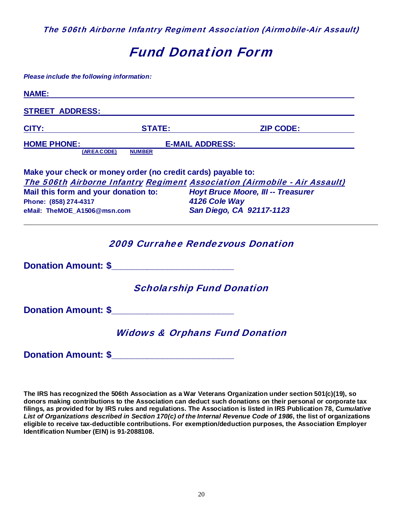The 506th Airborne Infantry Regiment Association (Airmobile-Air Assault)

## Fund Donation Form

| Please include the following information:                                                                                                                                                                                            |                          |                                                                            |
|--------------------------------------------------------------------------------------------------------------------------------------------------------------------------------------------------------------------------------------|--------------------------|----------------------------------------------------------------------------|
| <b>NAME:</b>                                                                                                                                                                                                                         |                          |                                                                            |
| <b>STREET ADDRESS:</b>                                                                                                                                                                                                               |                          |                                                                            |
| CITY:                                                                                                                                                                                                                                | <b>STATE:</b>            | <b>ZIP CODE:</b>                                                           |
| <b>HOME PHONE:</b>                                                                                                                                                                                                                   |                          | <b>E-MAIL ADDRESS:</b>                                                     |
| (AREA CODE)                                                                                                                                                                                                                          | <b>NUMBER</b>            |                                                                            |
| Make your check or money order (no credit cards) payable to:                                                                                                                                                                         |                          |                                                                            |
|                                                                                                                                                                                                                                      |                          | The 506th Airborne Infantry Regiment Association (Airmobile - Air Assault) |
| Mail this form and your donation to:                                                                                                                                                                                                 |                          | <b>Hoyt Bruce Moore, III -- Treasurer</b>                                  |
| Phone: (858) 274-4317                                                                                                                                                                                                                |                          | 4126 Cole Way                                                              |
| eMail: TheMOE_A1506@msn.com                                                                                                                                                                                                          | San Diego, CA 92117-1123 |                                                                            |
|                                                                                                                                                                                                                                      |                          | <b>2009 Currahee Rendezvous Donation</b>                                   |
| Donation Amount: \$                                                                                                                                                                                                                  |                          |                                                                            |
|                                                                                                                                                                                                                                      |                          | <b>Scholarship Fund Donation</b>                                           |
| <b>Donation Amount: \$</b> Production Construction of the set of the set of the set of the set of the set of the set of the set of the set of the set of the set of the set of the set of the set of the set of the set of the set o |                          |                                                                            |
|                                                                                                                                                                                                                                      |                          | <b>Widows &amp; Orphans Fund Donation</b>                                  |
| <b>Donation Amount: \$</b>                                                                                                                                                                                                           |                          |                                                                            |

**The IRS has recognized the 506th Association as a War Veterans Organization under section 501(c)(19), so donors making contributions to the Association can deduct such donations on their personal or corporate tax filings, as provided for by IRS rules and regulations. The Association is listed in IRS Publication 78,** *Cumulative List of Organizations described in Section 170(c) of the Internal Revenue Code of 1986***, the list of organizations eligible to receive tax-deductible contributions. For exemption/deduction purposes, the Association Employer Identification Number (EIN) is 91-2088108.**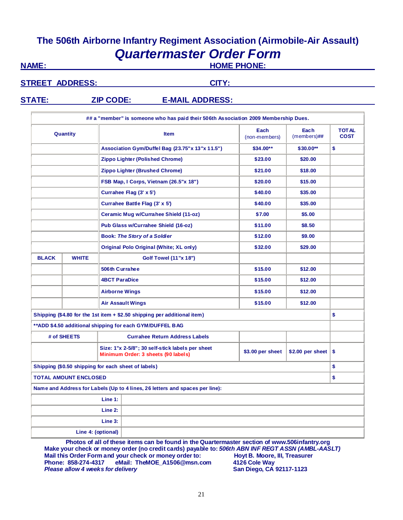## **The 506th Airborne Infantry Regiment Association (Airmobile-Air Assault)** *Quartermaster Order Form*

**NAME: HOME PHONE:**

**STREET ADDRESS:** CITY:

## **STATE: ZIP CODE: E-MAIL ADDRESS:**

| ## a "member" is someone who has paid their 506th Association 2009 Membership Dues. |                                                                            |                                                                                         |                  |                             |    |
|-------------------------------------------------------------------------------------|----------------------------------------------------------------------------|-----------------------------------------------------------------------------------------|------------------|-----------------------------|----|
|                                                                                     | Each<br>Each<br>Quantity<br><b>Item</b><br>$(members)$ ##<br>(non-members) |                                                                                         |                  | <b>TOTAL</b><br><b>COST</b> |    |
|                                                                                     |                                                                            | Association Gym/Duffel Bag (23.75" x 13" x 11.5")                                       | \$34.00**        | \$30.00**                   | \$ |
|                                                                                     |                                                                            | <b>Zippo Lighter (Polished Chrome)</b>                                                  | \$23.00          | \$20.00                     |    |
|                                                                                     |                                                                            | Zippo Lighter (Brushed Chrome)                                                          | \$21.00          | \$18.00                     |    |
|                                                                                     |                                                                            | FSB Map, I Corps, Vietnam (26.5"x 18")                                                  | \$20.00          | \$15.00                     |    |
|                                                                                     |                                                                            | Currahee Flag (3' x 5')                                                                 | \$40.00          | \$35.00                     |    |
|                                                                                     |                                                                            | Currahee Battle Flag (3' x 5')                                                          | \$40.00          | \$35.00                     |    |
|                                                                                     |                                                                            | Ceramic Mug w/Currahee Shield (11-oz)                                                   | \$7.00           | \$5.00                      |    |
|                                                                                     |                                                                            | Pub Glass w/Currahee Shield (16-oz)                                                     | \$11.00          | \$8.50                      |    |
|                                                                                     |                                                                            | <b>Book: The Story of a Soldier</b>                                                     | \$12.00          | \$9.00                      |    |
|                                                                                     |                                                                            | <b>Original Polo Original (White; XL only)</b>                                          | \$32.00          | \$29.00                     |    |
| <b>BLACK</b>                                                                        | <b>WHITE</b>                                                               | <b>Golf Towel (11"x 18")</b>                                                            |                  |                             |    |
|                                                                                     |                                                                            | 506th Currahee                                                                          | \$15.00          | \$12.00                     |    |
|                                                                                     |                                                                            | <b>4BCT ParaDice</b>                                                                    | \$15.00          | \$12.00                     |    |
|                                                                                     |                                                                            | <b>Airborne Wings</b>                                                                   | \$15.00          | \$12.00                     |    |
|                                                                                     |                                                                            | <b>Air Assault Wings</b>                                                                | \$15.00          | \$12.00                     |    |
|                                                                                     |                                                                            | Shipping (\$4.80 for the 1st item + \$2.50 shipping per additional item)                |                  |                             | \$ |
|                                                                                     |                                                                            | **ADD \$4.50 additional shipping for each GYM/DUFFEL BAG                                |                  |                             |    |
|                                                                                     | # of SHEETS                                                                | <b>Currahee Return Address Labels</b>                                                   |                  |                             |    |
|                                                                                     |                                                                            | Size: 1"x 2-5/8"; 30 self-stick labels per sheet<br>Minimum Order: 3 sheets (90 labels) | \$3.00 per sheet | \$2.00 per sheet            | \$ |
|                                                                                     |                                                                            | Shipping (\$0.50 shipping for each sheet of labels)                                     |                  |                             | \$ |
| <b>TOTAL AMOUNT ENCLOSED</b>                                                        |                                                                            |                                                                                         |                  |                             | \$ |
| Name and Address for Labels (Up to 4 lines, 26 letters and spaces per line):        |                                                                            |                                                                                         |                  |                             |    |
| Line 1:                                                                             |                                                                            |                                                                                         |                  |                             |    |
| Line 2:                                                                             |                                                                            |                                                                                         |                  |                             |    |
| Line 3:                                                                             |                                                                            |                                                                                         |                  |                             |    |
| Line 4: (optional)                                                                  |                                                                            |                                                                                         |                  |                             |    |

**Photos of all of these items can be found in the Quartermaster section of www.506infantry.org** Make your check or money order (no credit cards) payable to: 506th ABN INF REGT ASSN (AMBL-AASLT)<br>Mail this Order Form and your check or money order to: Hoyt B. Moore, III, Treasurer **Mail this Order Form and your check or money order to: Hoyt B. Moore,<br>Phone: 858-274-4317 eMail: TheMOE\_A1506@msn.com 4126 Cole Way Phone: 858-274-4317 eMail: TheMOE\_A1506@msn.com 4126 Cole Way Please allow 4 weeks for delivery**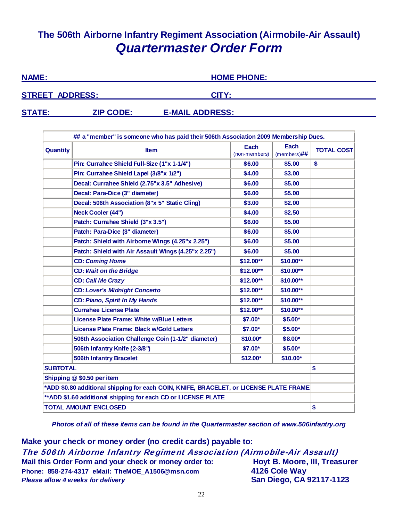## **The 506th Airborne Infantry Regiment Association (Airmobile-Air Assault)** *Quartermaster Order Form*

| <b>NAME:</b>           |                  | <b>HOME PHONE:</b>     |  |
|------------------------|------------------|------------------------|--|
| <b>STREET ADDRESS:</b> |                  | CITY:                  |  |
| <b>STATE:</b>          | <b>ZIP CODE:</b> | <b>E-MAIL ADDRESS:</b> |  |

|                 | ## a "member" is someone who has paid their 506th Association 2009 Membership Dues.    |                       |                        |                   |
|-----------------|----------------------------------------------------------------------------------------|-----------------------|------------------------|-------------------|
| <b>Quantity</b> | <b>Item</b>                                                                            | Each<br>(non-members) | Each<br>$(members)$ ## | <b>TOTAL COST</b> |
|                 | Pin: Currahee Shield Full-Size (1"x 1-1/4")                                            | \$6.00                | \$5.00                 | \$                |
|                 | Pin: Currahee Shield Lapel (3/8"x 1/2")                                                | \$4.00                | \$3.00                 |                   |
|                 | Decal: Currahee Shield (2.75"x 3.5" Adhesive)                                          | \$6.00                | \$5.00                 |                   |
|                 | Decal: Para-Dice (3" diameter)                                                         | \$6.00                | \$5.00                 |                   |
|                 | Decal: 506th Association (8"x 5" Static Cling)                                         | \$3.00                | \$2.00                 |                   |
|                 | <b>Neck Cooler (44")</b>                                                               | \$4.00                | \$2.50                 |                   |
|                 | Patch: Currahee Shield (3"x 3.5")                                                      | \$6.00                | \$5.00                 |                   |
|                 | Patch: Para-Dice (3" diameter)                                                         | \$6.00                | \$5.00                 |                   |
|                 | Patch: Shield with Airborne Wings (4.25"x 2.25")                                       | \$6.00                | \$5.00                 |                   |
|                 | Patch: Shield with Air Assault Wings (4.25"x 2.25")                                    | \$6.00                | \$5.00                 |                   |
|                 | <b>CD: Coming Home</b>                                                                 | \$12.00**             | \$10.00**              |                   |
|                 | <b>CD: Wait on the Bridge</b>                                                          | \$12.00**             | \$10.00**              |                   |
|                 | <b>CD: Call Me Crazy</b>                                                               | \$12.00**             | \$10.00**              |                   |
|                 | <b>CD: Lover's Midnight Concerto</b>                                                   | \$12.00**             | \$10.00**              |                   |
|                 | <b>CD: Piano, Spirit In My Hands</b>                                                   | \$12.00**             | \$10.00**              |                   |
|                 | <b>Currahee License Plate</b>                                                          | \$12.00**             | \$10.00**              |                   |
|                 | <b>License Plate Frame: White w/Blue Letters</b>                                       | \$7.00*               | $$5.00*$               |                   |
|                 | License Plate Frame: Black w/Gold Letters                                              | \$7.00*               | \$5.00*                |                   |
|                 | 506th Association Challenge Coin (1-1/2" diameter)                                     | \$10.00*              | \$8.00*                |                   |
|                 | 506th Infantry Knife (2-3/8")                                                          | \$7.00*               | \$5.00*                |                   |
|                 | <b>506th Infantry Bracelet</b>                                                         | \$12.00*              | \$10.00*               |                   |
| <b>SUBTOTAL</b> |                                                                                        |                       |                        | \$                |
|                 | Shipping @ \$0.50 per item                                                             |                       |                        |                   |
|                 | *ADD \$0.80 additional shipping for each COIN, KNIFE, BRACELET, or LICENSE PLATE FRAME |                       |                        |                   |
|                 | ** ADD \$1.60 additional shipping for each CD or LICENSE PLATE                         |                       |                        |                   |
|                 | <b>TOTAL AMOUNT ENCLOSED</b>                                                           |                       |                        | \$                |

*Photos of all of these items can be found in the Quartermaster section of www.506infantry.org* 

**Make your check or money order (no credit cards) payable to:** The 506th Airborne Infantry Regiment Association (Airmobile-Air Assault) **Mail this Order Form and your check or money order to: Hoyt B. Moore, III, Treasurer Phone: 858-274-4317 eMail: TheMOE\_A1506@msn.com 4126 Cole Way** *Please allow 4 weeks for delivery* **San Diego, CA 92117-1123**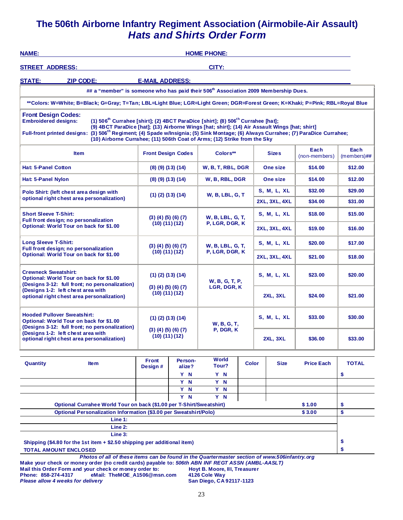## **The 506th Airborne Infantry Regiment Association (Airmobile-Air Assault)** *Hats and Shirts Order Form*

| <b>NAME:</b>                                                                                                                                                                                                 | <b>HOME PHONE:</b>                                                                                                                                                                                                                                                                      |                                                                |                       |                                           |                      |                      |                       |                        |  |
|--------------------------------------------------------------------------------------------------------------------------------------------------------------------------------------------------------------|-----------------------------------------------------------------------------------------------------------------------------------------------------------------------------------------------------------------------------------------------------------------------------------------|----------------------------------------------------------------|-----------------------|-------------------------------------------|----------------------|----------------------|-----------------------|------------------------|--|
| <b>STREET ADDRESS:</b>                                                                                                                                                                                       | CITY:                                                                                                                                                                                                                                                                                   |                                                                |                       |                                           |                      |                      |                       |                        |  |
| <b>STATE:</b><br><b>ZIP CODE:</b>                                                                                                                                                                            | <b>E-MAIL ADDRESS:</b>                                                                                                                                                                                                                                                                  |                                                                |                       |                                           |                      |                      |                       |                        |  |
| ## a "member" is someone who has paid their 506th Association 2009 Membership Dues.                                                                                                                          |                                                                                                                                                                                                                                                                                         |                                                                |                       |                                           |                      |                      |                       |                        |  |
| **Colors: W=White; B=Black; G=Gray; T=Tan; LBL=Light Blue; LGR=Light Green; DGR=Forest Green; K=Khaki; P=Pink; RBL=Royal Blue                                                                                |                                                                                                                                                                                                                                                                                         |                                                                |                       |                                           |                      |                      |                       |                        |  |
| <b>Front Design Codes:</b><br><b>Embroidered designs:</b><br>Full-front printed designs: (3) 506 <sup>th</sup> Regiment; (4) Spade w/Insignia; (5) Sink Montage; (6) Always Currahee; (7) ParaDice Currahee; | (1) 506 <sup>th</sup> Currahee [shirt]; (2) 4BCT ParaDice [shirt]; (8) 506 <sup>th</sup> Currahee [hat];<br>(9) 4BCT ParaDice [hat]; (13) Airborne Wings [hat; shirt]; (14) Air Assault Wings [hat; shirt]<br>(10) Airborne Currahee; (11) 506th Coat of Arms; (12) Strike from the Sky |                                                                |                       |                                           |                      |                      |                       |                        |  |
| <b>Item</b>                                                                                                                                                                                                  |                                                                                                                                                                                                                                                                                         | <b>Front Design Codes</b>                                      | Colors**              |                                           | <b>Sizes</b>         |                      | Each<br>(non-members) | Each<br>$(members)$ ## |  |
| <b>Hat: 5-Panel Cotton</b>                                                                                                                                                                                   |                                                                                                                                                                                                                                                                                         | $(8)$ $(9)$ $(13)$ $(14)$                                      |                       | W, B, T, RBL, DGR                         |                      | One size             | \$14.00               | \$12.00                |  |
| Hat: 5-Panel Nylon                                                                                                                                                                                           |                                                                                                                                                                                                                                                                                         | $(8)$ $(9)$ $(13)$ $(14)$                                      |                       | W, B, RBL, DGR                            |                      | One size             | \$14.00               | \$12.00                |  |
| Polo Shirt: (left chest area design with                                                                                                                                                                     |                                                                                                                                                                                                                                                                                         | $(1)$ $(2)$ $(13)$ $(14)$                                      |                       | <b>W, B, LBL, G, T</b>                    | S, M, L, XL          |                      | \$32.00               | \$29.00                |  |
| optional right chest area personalization)                                                                                                                                                                   |                                                                                                                                                                                                                                                                                         |                                                                |                       |                                           | <b>2XL, 3XL, 4XL</b> |                      | \$34.00               | \$31.00                |  |
| <b>Short Sleeve T-Shirt:</b>                                                                                                                                                                                 |                                                                                                                                                                                                                                                                                         | (3)(4)(5)(6)(7)<br>(10) (11) (12)                              |                       | <b>W, B, LBL, G, T,</b><br>P, LGR, DGR, K |                      | S, M, L, XL          | \$18.00               | \$15.00                |  |
| Full front design; no personalization<br>Optional: World Tour on back for \$1.00                                                                                                                             |                                                                                                                                                                                                                                                                                         |                                                                |                       |                                           |                      | <b>2XL, 3XL, 4XL</b> | \$19.00               | \$16.00                |  |
| <b>Long Sleeve T-Shirt:</b><br>Full front design; no personalization                                                                                                                                         |                                                                                                                                                                                                                                                                                         | $(3)$ $(4)$ $(5)$ $(6)$ $(7)$<br>(10) (11) (12)                |                       | W, B, LBL, G, T,                          | <b>S. M. L. XL</b>   |                      | \$20.00               | \$17.00                |  |
| Optional: World Tour on back for \$1.00                                                                                                                                                                      |                                                                                                                                                                                                                                                                                         |                                                                |                       | P, LGR, DGR, K                            |                      | <b>2XL, 3XL, 4XL</b> | \$21.00               | \$18.00                |  |
| <b>Crewneck Sweatshirt:</b><br>Optional: World Tour on back for \$1.00<br>(Designs 3-12: full front; no personalization)                                                                                     |                                                                                                                                                                                                                                                                                         | $(1)$ $(2)$ $(13)$ $(14)$<br>(3)(4)(5)(6)(7)<br>(10) (11) (12) |                       | W, B, G, T, P,<br>LGR, DGR, K             |                      | S, M, L, XL          | \$23.00               | \$20.00                |  |
| (Designs 1-2: left chest area with<br>optional right chest area personalization)                                                                                                                             |                                                                                                                                                                                                                                                                                         |                                                                |                       |                                           |                      | <b>2XL, 3XL</b>      | \$24.00               | \$21.00                |  |
| <b>Hooded Pullover Sweatshirt:</b><br>Optional: World Tour on back for \$1.00<br>(Designs 3-12: full front; no personalization)                                                                              |                                                                                                                                                                                                                                                                                         | $(1)$ $(2)$ $(13)$ $(14)$<br>(3)(4)(5)(6)(7)<br>(10) (11) (12) |                       | <b>W, B, G, T,</b>                        | S, M, L, XL          |                      | \$33.00               | \$30.00                |  |
| (Designs 1-2: left chest area with<br>optional right chest area personalization)                                                                                                                             |                                                                                                                                                                                                                                                                                         |                                                                |                       | P, DGR, K                                 | <b>2XL, 3XL</b>      |                      | \$36.00               | \$33.00                |  |
| Quantity<br><b>Item</b>                                                                                                                                                                                      | <b>Front</b><br>Design#                                                                                                                                                                                                                                                                 | Person-<br>alize?                                              | <b>World</b><br>Tour? | <b>Color</b>                              |                      | <b>Size</b>          | <b>Price Each</b>     | <b>TOTAL</b>           |  |
|                                                                                                                                                                                                              |                                                                                                                                                                                                                                                                                         | Y N<br>Y N                                                     | Y N<br>Y N            |                                           |                      |                      |                       | \$                     |  |
|                                                                                                                                                                                                              |                                                                                                                                                                                                                                                                                         | Y N                                                            |                       |                                           |                      |                      |                       |                        |  |
|                                                                                                                                                                                                              |                                                                                                                                                                                                                                                                                         | Y N                                                            | Y N<br>Y N            |                                           |                      |                      |                       |                        |  |
| Optional Currahee World Tour on back (\$1.00 per T-Shirt/Sweatshirt)<br>\$1.00                                                                                                                               |                                                                                                                                                                                                                                                                                         |                                                                |                       |                                           |                      |                      |                       | \$                     |  |
| Optional Personalization Information (\$3.00 per Sweatshirt/Polo)<br>\$3.00                                                                                                                                  |                                                                                                                                                                                                                                                                                         |                                                                |                       |                                           |                      |                      |                       | \$                     |  |
| Line 1:<br>Line 2:                                                                                                                                                                                           |                                                                                                                                                                                                                                                                                         |                                                                |                       |                                           |                      |                      |                       |                        |  |
| Line 3:                                                                                                                                                                                                      |                                                                                                                                                                                                                                                                                         |                                                                |                       |                                           |                      |                      |                       |                        |  |

**Shipping (\$4.80 for the 1st item + \$2.50 shipping per additional item) \$**

#### **TOTAL AMOUNT ENCLOSED \$**

*Photos of all of these items can be found in the Quartermaster section of www.506infantry.org*  **Make your check or money order (no credit cards) payable to:** *506th ABN INF REGT ASSN (AMBL-AASLT)*  **Mail this Order Form and your check or money order to: Hoyt B. Moore, III, Treasurer Phone: 858-274-4317 eMail: TheMOE\_A1506@msn.com 4126 Cole Way Please allow 4 weeks for delivery <b>San Diego, CA 92117-1123** San Diego, CA 92117-1123